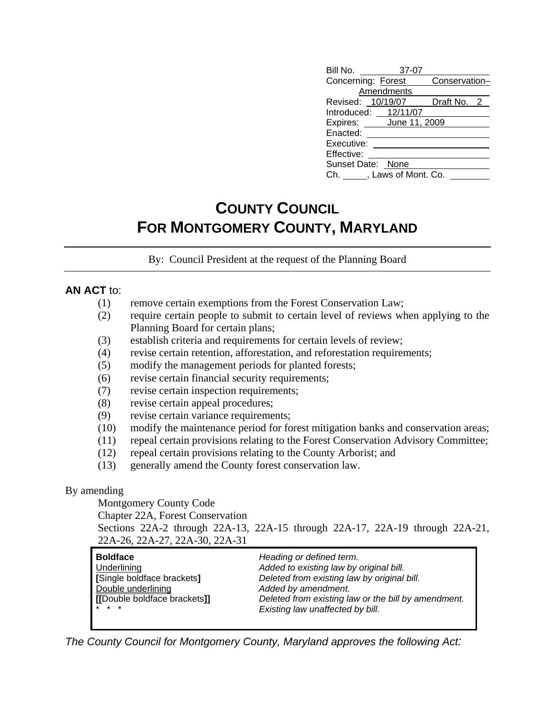| Bill No. 37-07                   |            |             |  |
|----------------------------------|------------|-------------|--|
| Concerning: Forest Conservation- |            |             |  |
|                                  | Amendments |             |  |
| Revised: 10/19/07                |            | Draft No. 2 |  |
| Introduced: 12/11/07             |            |             |  |
| Expires: June 11, 2009           |            |             |  |
| Enacted:                         |            |             |  |
| Executive:                       |            |             |  |
| Effective:                       |            |             |  |
| Sunset Date: None                |            |             |  |
| Ch. , Laws of Mont. Co.          |            |             |  |

# **COUNTY COUNCIL FOR MONTGOMERY COUNTY, MARYLAND**

By: Council President at the request of the Planning Board

#### **AN ACT** to:

- (1) remove certain exemptions from the Forest Conservation Law;
- (2) require certain people to submit to certain level of reviews when applying to the Planning Board for certain plans;
- (3) establish criteria and requirements for certain levels of review;
- (4) revise certain retention, afforestation, and reforestation requirements;
- (5) modify the management periods for planted forests;
- (6) revise certain financial security requirements;
- (7) revise certain inspection requirements;
- (8) revise certain appeal procedures;
- (9) revise certain variance requirements;
- (10) modify the maintenance period for forest mitigation banks and conservation areas;
- (11) repeal certain provisions relating to the Forest Conservation Advisory Committee;
- (12) repeal certain provisions relating to the County Arborist; and
- (13) generally amend the County forest conservation law.

#### By amending

Montgomery County Code

Chapter 22A, Forest Conservation

Sections 22A-2 through 22A-13, 22A-15 through 22A-17, 22A-19 through 22A-21, 22A-26, 22A-27, 22A-30, 22A-31

| Boldface                     | Heading or defined term.                            |
|------------------------------|-----------------------------------------------------|
| Underlining                  | Added to existing law by original bill.             |
| [Single boldface brackets]   | Deleted from existing law by original bill.         |
| Double underlining           | Added by amendment.                                 |
| [[Double boldface brackets]] | Deleted from existing law or the bill by amendment. |
| <b>x</b> * *                 | Existing law unaffected by bill.                    |
|                              |                                                     |

*The County Council for Montgomery County, Maryland approves the following Act:*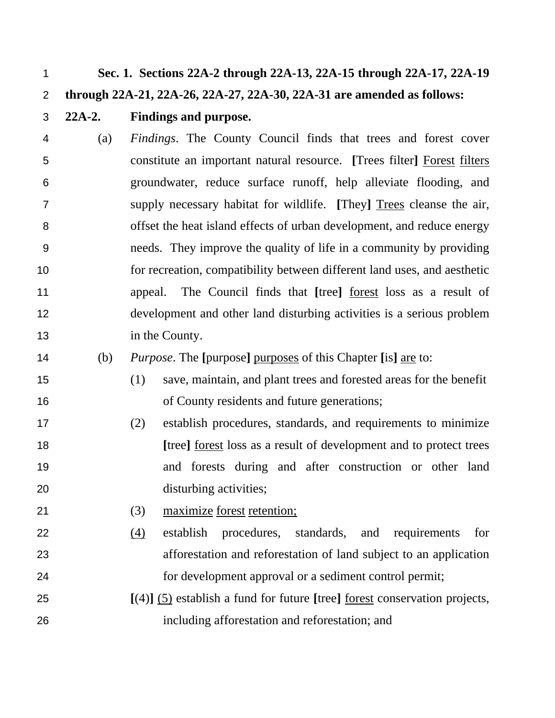**Sec. 1. Sections 22A-2 through 22A-13, 22A-15 through 22A-17, 22A-19** 

### **through 22A-21, 22A-26, 22A-27, 22A-30, 22A-31 are amended as follows:**

#### **22A-2. Findings and purpose.**

- (a) *Findings*. The County Council finds that trees and forest cover constitute an important natural resource. **[**Trees filter**]** Forest filters groundwater, reduce surface runoff, help alleviate flooding, and supply necessary habitat for wildlife. **[**They**]** Trees cleanse the air, offset the heat island effects of urban development, and reduce energy needs. They improve the quality of life in a community by providing for recreation, compatibility between different land uses, and aesthetic appeal. The Council finds that **[**tree**]** forest loss as a result of development and other land disturbing activities is a serious problem 13 in the County.
- (b) *Purpose*. The **[**purpose**]** purposes of this Chapter **[**is**]** are to:
- (1) save, maintain, and plant trees and forested areas for the benefit of County residents and future generations;
- (2) establish procedures, standards, and requirements to minimize **[**tree**]** forest loss as a result of development and to protect trees and forests during and after construction or other land disturbing activities;
- (3) maximize forest retention;
- (4) establish procedures, standards, and requirements for afforestation and reforestation of land subject to an application for development approval or a sediment control permit;
- **[**(4)**]** (5) establish a fund for future **[**tree**]** forest conservation projects, including afforestation and reforestation; and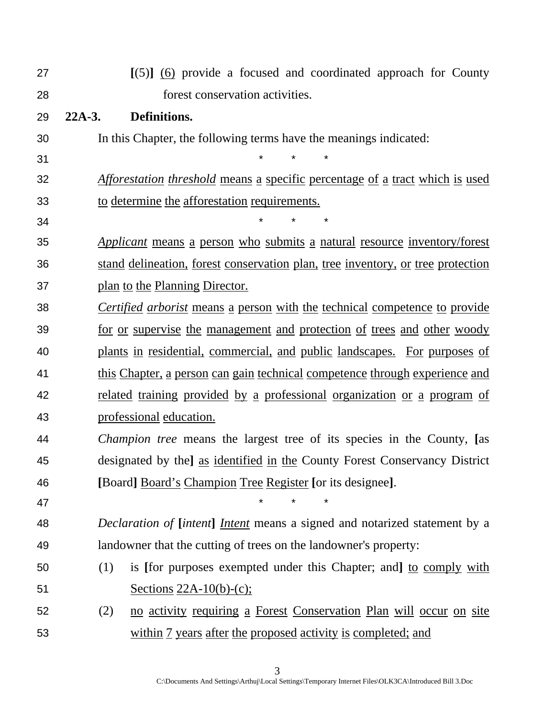| 27 | $[(5)]$ (6) provide a focused and coordinated approach for County                   |
|----|-------------------------------------------------------------------------------------|
| 28 | forest conservation activities.                                                     |
| 29 | Definitions.<br>$22A-3.$                                                            |
| 30 | In this Chapter, the following terms have the meanings indicated:                   |
| 31 |                                                                                     |
| 32 | <i>Afforestation threshold</i> means a specific percentage of a tract which is used |
| 33 | to determine the afforestation requirements.                                        |
| 34 |                                                                                     |
| 35 | Applicant means a person who submits a natural resource inventory/forest            |
| 36 | stand delineation, forest conservation plan, tree inventory, or tree protection     |
| 37 | plan to the Planning Director.                                                      |
| 38 | <i>Certified arborist</i> means a person with the technical competence to provide   |
| 39 | for or supervise the management and protection of trees and other woody             |
| 40 | plants in residential, commercial, and public landscapes. For purposes of           |
| 41 | this Chapter, a person can gain technical competence through experience and         |
| 42 | related training provided by a professional organization or a program of            |
| 43 | professional education.                                                             |
| 44 | <i>Champion tree</i> means the largest tree of its species in the County, [as       |
| 45 | designated by the] as identified in the County Forest Conservancy District          |
| 46 | [Board] Board's Champion Tree Register [or its designee].                           |
| 47 |                                                                                     |
| 48 | <i>Declaration of [intent] Intent</i> means a signed and notarized statement by a   |
| 49 | landowner that the cutting of trees on the landowner's property:                    |
| 50 | is [for purposes exempted under this Chapter; and] to comply with<br>(1)            |
| 51 | Sections $22A-10(b)-(c)$ ;                                                          |
| 52 | no activity requiring a Forest Conservation Plan will occur on site<br>(2)          |
| 53 | within 7 years after the proposed activity is completed; and                        |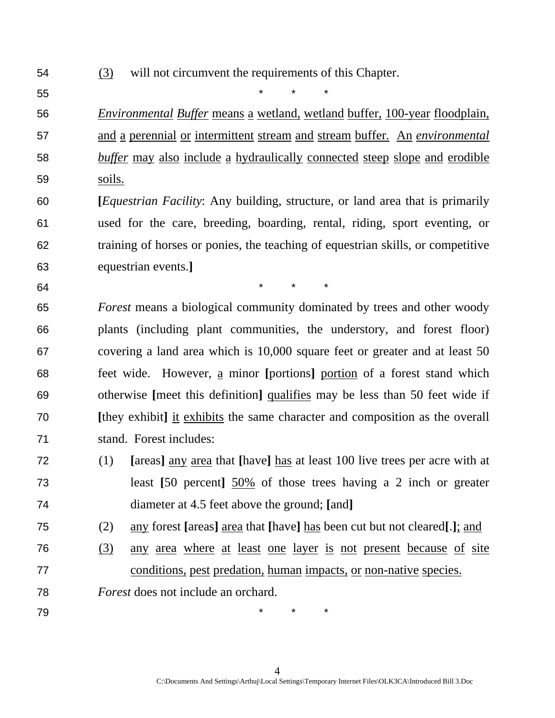- (3) will not circumvent the requirements of this Chapter.
- 

55 \* \* \*

*Environmental Buffer* means a wetland, wetland buffer, 100-year floodplain, and a perennial or intermittent stream and stream buffer. An *environmental buffer* may also include a hydraulically connected steep slope and erodible soils.

**[***Equestrian Facility*: Any building, structure, or land area that is primarily used for the care, breeding, boarding, rental, riding, sport eventing, or training of horses or ponies, the teaching of equestrian skills, or competitive equestrian events.**]** 

64 \* \* \* \* \*

*Forest* means a biological community dominated by trees and other woody plants (including plant communities, the understory, and forest floor) covering a land area which is 10,000 square feet or greater and at least 50 feet wide. However, a minor **[**portions**]** portion of a forest stand which otherwise **[**meet this definition**]** qualifies may be less than 50 feet wide if **[**they exhibit**]** it exhibits the same character and composition as the overall stand. Forest includes:

- (1) **[**areas**]** any area that **[**have**]** has at least 100 live trees per acre with at least **[**50 percent**]** 50% of those trees having a 2 inch or greater diameter at 4.5 feet above the ground; **[**and**]**
- (2) any forest **[**areas**]** area that **[**have**]** has been cut but not cleared**[**.**]**; and
- (3) any area where at least one layer is not present because of site conditions, pest predation, human impacts, or non-native species.
- *Forest* does not include an orchard.
- 

79 \* \* \*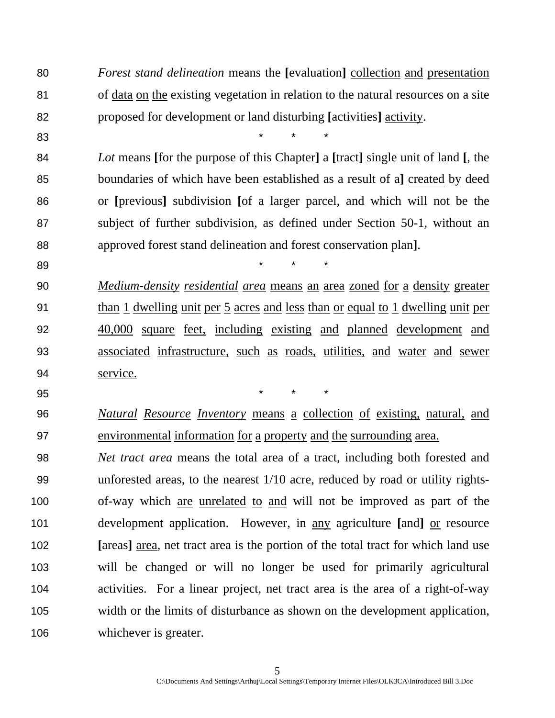*Forest stand delineation* means the **[**evaluation**]** collection and presentation of data on the existing vegetation in relation to the natural resources on a site proposed for development or land disturbing **[**activities**]** activity.

83 \* \* \*

*Lot* means **[**for the purpose of this Chapter**]** a **[**tract**]** single unit of land **[**, the boundaries of which have been established as a result of a**]** created by deed or **[**previous**]** subdivision **[**of a larger parcel, and which will not be the subject of further subdivision, as defined under Section 50-1, without an approved forest stand delineation and forest conservation plan**]**.

89 \* \* \*

*Medium-density residential area* means an area zoned for a density greater than 1 dwelling unit per 5 acres and less than or equal to 1 dwelling unit per 40,000 square feet, including existing and planned development and associated infrastructure, such as roads, utilities, and water and sewer service.

95 \* \* \*

*Natural Resource Inventory* means a collection of existing, natural, and environmental information for a property and the surrounding area.

*Net tract area* means the total area of a tract, including both forested and unforested areas, to the nearest 1/10 acre, reduced by road or utility rights-of-way which are unrelated to and will not be improved as part of the development application. However, in any agriculture **[**and**]** or resource **[**areas**]** area, net tract area is the portion of the total tract for which land use will be changed or will no longer be used for primarily agricultural activities. For a linear project, net tract area is the area of a right-of-way width or the limits of disturbance as shown on the development application, whichever is greater.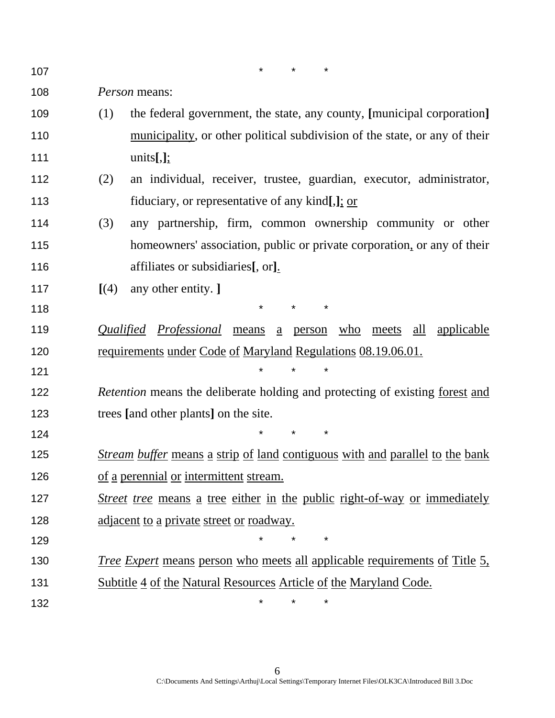107 \* \* \*

*Person* means:

- (1) the federal government, the state, any county, **[**municipal corporation**]** municipality, or other political subdivision of the state, or any of their units**[**,**]**;
- (2) an individual, receiver, trustee, guardian, executor, administrator, fiduciary, or representative of any kind**[**,**]**; or
- (3) any partnership, firm, common ownership community or other homeowners' association, public or private corporation, or any of their affiliates or subsidiaries**[**, or**]**.
- **[**(4) any other entity. **]**

**\*** \* \* \* \*

*Qualified Professional* means a person who meets all applicable 120 requirements under Code of Maryland Regulations 08.19.06.01.

**\*** \* \* \*

**\*** \* \* \*

*Retention* means the deliberate holding and protecting of existing forest and trees **[**and other plants**]** on the site.

**\*** \* \* \* \*

- *Stream buffer* means a strip of land contiguous with and parallel to the bank 126 of a perennial or intermittent stream.
- *Street tree* means a tree either in the public right-of-way or immediately adjacent to a private street or roadway.
- *Tree Expert* means person who meets all applicable requirements of Title 5, Subtitle 4 of the Natural Resources Article of the Maryland Code.

132 \* \* \*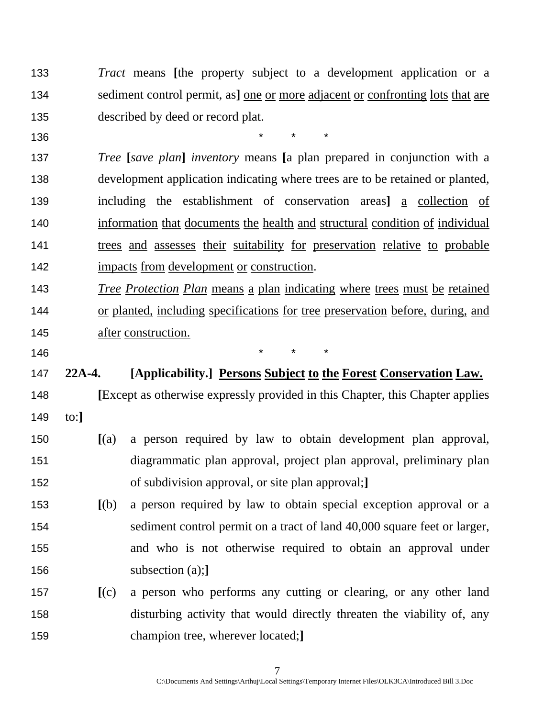*Tract* means **[**the property subject to a development application or a sediment control permit, as**]** one or more adjacent or confronting lots that are described by deed or record plat.

**\*** \* \* \* \*

*Tree* **[***save plan***]** *inventory* means **[**a plan prepared in conjunction with a development application indicating where trees are to be retained or planted, including the establishment of conservation areas**]** a collection of information that documents the health and structural condition of individual trees and assesses their suitability for preservation relative to probable impacts from development or construction.

*Tree Protection Plan* means a plan indicating where trees must be retained or planted, including specifications for tree preservation before, during, and after construction.

146 \* \* \*

# **22A-4. [Applicability.] Persons Subject to the Forest Conservation Law.**

**[**Except as otherwise expressly provided in this Chapter, this Chapter applies to:**]**

- **[**(a) a person required by law to obtain development plan approval, diagrammatic plan approval, project plan approval, preliminary plan of subdivision approval, or site plan approval;**]**
- **[**(b) a person required by law to obtain special exception approval or a sediment control permit on a tract of land 40,000 square feet or larger, and who is not otherwise required to obtain an approval under subsection (a);**]**
- **[**(c) a person who performs any cutting or clearing, or any other land disturbing activity that would directly threaten the viability of, any champion tree, wherever located;**]**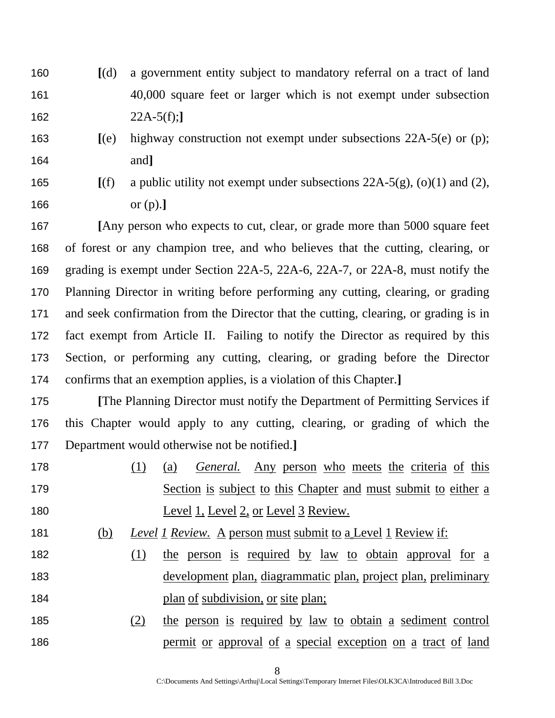- **[**(d) a government entity subject to mandatory referral on a tract of land 40,000 square feet or larger which is not exempt under subsection 22A-5(f);**]**
- **[**(e) highway construction not exempt under subsections 22A-5(e) or (p); and**]**
- 

**[**(f) a public utility not exempt under subsections 22A-5(g), (o)(1) and (2), or (p).**]**

**[**Any person who expects to cut, clear, or grade more than 5000 square feet of forest or any champion tree, and who believes that the cutting, clearing, or grading is exempt under Section 22A-5, 22A-6, 22A-7, or 22A-8, must notify the Planning Director in writing before performing any cutting, clearing, or grading and seek confirmation from the Director that the cutting, clearing, or grading is in fact exempt from Article II. Failing to notify the Director as required by this Section, or performing any cutting, clearing, or grading before the Director confirms that an exemption applies, is a violation of this Chapter.**]**

**[**The Planning Director must notify the Department of Permitting Services if this Chapter would apply to any cutting, clearing, or grading of which the Department would otherwise not be notified.**]**

- (1) (a) *General.* Any person who meets the criteria of this Section is subject to this Chapter and must submit to either a 180 Level 1, Level 2, or Level 3 Review.
- (b) *Level 1 Review.* A person must submit to a Level 1 Review if:
- 182 (1) the person is required by law to obtain approval for a development plan, diagrammatic plan, project plan, preliminary **plan** of subdivision, or site plan;
- (2) the person is required by law to obtain a sediment control permit or approval of a special exception on a tract of land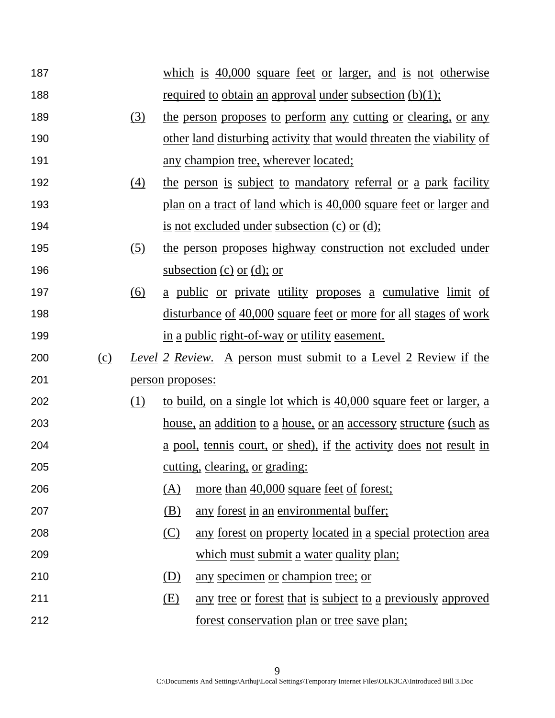| 187 |     |                  |                  | which is $40,000$ square feet or larger, and is not otherwise               |
|-----|-----|------------------|------------------|-----------------------------------------------------------------------------|
| 188 |     |                  |                  | <u>required to obtain an approval under subsection <math>(b)(1)</math>;</u> |
| 189 |     | <u>(3)</u>       |                  | the person proposes to perform any cutting or clearing, or any              |
| 190 |     |                  |                  | other land disturbing activity that would threaten the viability of         |
| 191 |     |                  |                  | <u>any champion tree, wherever located;</u>                                 |
| 192 |     | $\left(4\right)$ |                  | the person is subject to mandatory referral or a park facility              |
| 193 |     |                  |                  | plan on a tract of land which is 40,000 square feet or larger and           |
| 194 |     |                  |                  | <u>is not excluded under subsection (c) or (d)</u> ;                        |
| 195 |     | (5)              |                  | the person proposes highway construction not excluded under                 |
| 196 |     |                  |                  | subsection (c) or (d); or                                                   |
| 197 |     | <u>(6)</u>       |                  | <u>a public or private utility proposes a cumulative limit of</u>           |
| 198 |     |                  |                  | <u>disturbance of 40,000 square feet or more for all stages of work</u>     |
| 199 |     |                  |                  | in a public right-of-way or utility easement.                               |
|     |     |                  |                  |                                                                             |
| 200 | (c) |                  |                  | <u>Level 2 Review. A person must submit to a Level 2 Review if the</u>      |
| 201 |     |                  | person proposes: |                                                                             |
| 202 |     | (1)              |                  | to build, on a single lot which is 40,000 square feet or larger, a          |
| 203 |     |                  |                  | <u>house, an addition to a house, or an accessory structure (such as</u>    |
| 204 |     |                  |                  | a pool, tennis court, or shed), if the activity does not result in          |
| 205 |     |                  |                  | cutting, clearing, or grading:                                              |
| 206 |     |                  | <u>(A)</u>       | more than 40,000 square feet of forest;                                     |
| 207 |     |                  | (B)              | any forest in an environmental buffer;                                      |
| 208 |     |                  | <u>(C)</u>       | any forest on property located in a special protection area                 |
| 209 |     |                  |                  | which must submit a water quality plan;                                     |
| 210 |     |                  | (D)              | any specimen or champion tree; or                                           |
| 211 |     |                  | <u>(E)</u>       | any tree or forest that is subject to a previously approved                 |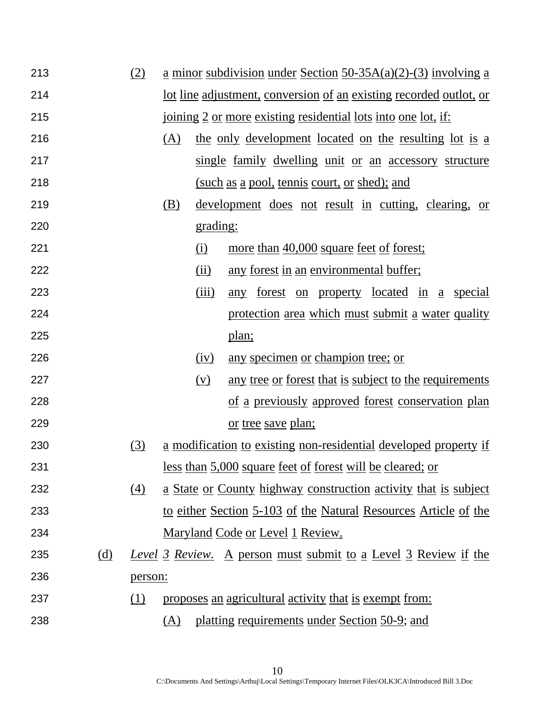| 213 |            | (2)     |     |          | $\underline{a}$ minor subdivision under Section 50-35A(a)(2)-(3) involving a |
|-----|------------|---------|-----|----------|------------------------------------------------------------------------------|
| 214 |            |         |     |          | <u>lot line adjustment, conversion of an existing recorded outlot, or</u>    |
| 215 |            |         |     |          | <u>joining 2 or more existing residential lots into one lot, if:</u>         |
| 216 |            |         | (A) |          | the only development located on the resulting lot is a                       |
| 217 |            |         |     |          | single family dwelling unit or an accessory structure                        |
| 218 |            |         |     |          | (such as a pool, tennis court, or shed); and                                 |
| 219 |            |         | (B) |          | <u>development</u> does not result in cutting, clearing, or                  |
| 220 |            |         |     | grading: |                                                                              |
| 221 |            |         |     | (i)      | more than 40,000 square feet of forest;                                      |
| 222 |            |         |     | (ii)     | any forest in an environmental buffer;                                       |
| 223 |            |         |     | (iii)    | forest on property located in a special<br>any                               |
| 224 |            |         |     |          | protection area which must submit a water quality                            |
| 225 |            |         |     |          | <u>plan;</u>                                                                 |
| 226 |            |         |     | (iv)     | any specimen or champion tree; or                                            |
| 227 |            |         |     | (v)      | any tree or forest that is subject to the requirements                       |
| 228 |            |         |     |          | of a previously approved forest conservation plan                            |
| 229 |            |         |     |          | <u>or tree save plan;</u>                                                    |
| 230 |            | (3)     |     |          | <u>a modification to existing non-residential developed property if</u>      |
| 231 |            |         |     |          | <u>less than 5,000 square feet of forest will be cleared; or</u>             |
| 232 |            | (4)     |     |          | <u>a State or County highway construction activity that is subject</u>       |
| 233 |            |         |     |          | to either Section 5-103 of the Natural Resources Article of the              |
| 234 |            |         |     |          | <u>Maryland Code or Level 1 Review.</u>                                      |
| 235 | <u>(d)</u> |         |     |          | <b>Level 3 Review.</b> A person must submit to a Level 3 Review if the       |
| 236 |            | person: |     |          |                                                                              |
| 237 |            | (1)     |     |          | proposes an agricultural activity that is exempt from:                       |
| 238 |            |         | (A) |          | platting requirements under Section 50-9; and                                |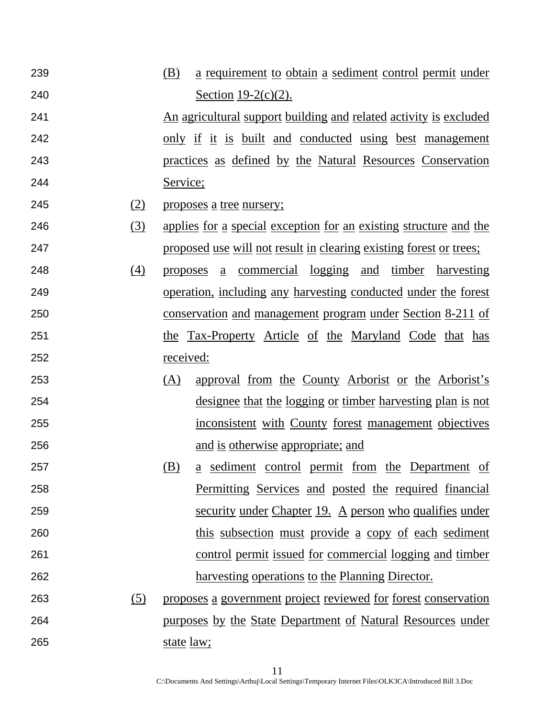- (B) a requirement to obtain a sediment control permit under Section 19-2(c)(2).
- An agricultural support building and related activity is excluded 242 only if it is built and conducted using best management practices as defined by the Natural Resources Conservation Service;
- (2) proposes a tree nursery;
- (3) applies for a special exception for an existing structure and the proposed use will not result in clearing existing forest or trees;
- (4) proposes a commercial logging and timber harvesting operation, including any harvesting conducted under the forest conservation and management program under Section 8-211 of 251 the Tax-Property Article of the Maryland Code that has received:
- (A) approval from the County Arborist or the Arborist's designee that the logging or timber harvesting plan is not inconsistent with County forest management objectives and is otherwise appropriate; and
- (B) a sediment control permit from the Department of Permitting Services and posted the required financial security under Chapter 19. A person who qualifies under this subsection must provide a copy of each sediment control permit issued for commercial logging and timber harvesting operations to the Planning Director.
- (5) proposes a government project reviewed for forest conservation purposes by the State Department of Natural Resources under 265 state law;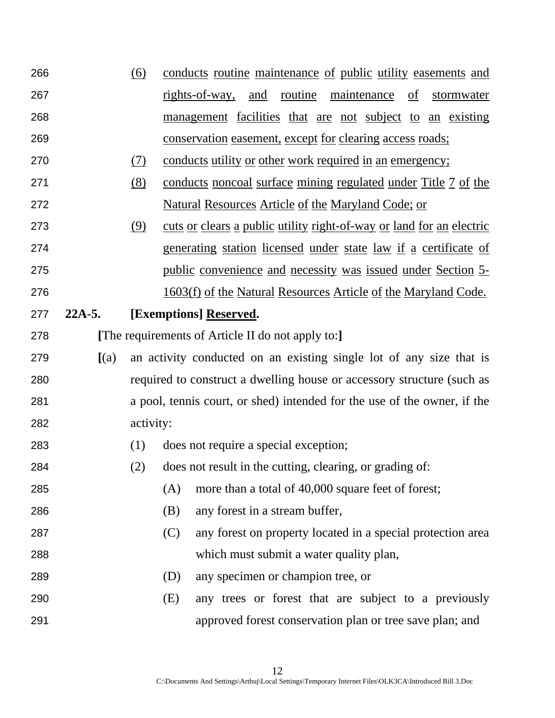| 266 |          | (6)        | conducts routine maintenance of public utility easements and                |
|-----|----------|------------|-----------------------------------------------------------------------------|
| 267 |          |            | and routine<br><u>maintenance</u> of<br>rights-of-way,<br>stormwater        |
| 268 |          |            | management facilities that are not subject to an existing                   |
| 269 |          |            | <u>conservation easement, except for clearing access roads;</u>             |
| 270 |          | <u>(7)</u> | <u>conducts utility or other work required in an emergency;</u>             |
| 271 |          | (8)        | conducts noncoal surface mining regulated under Title 7 of the              |
| 272 |          |            | <u>Natural Resources Article of the Maryland Code; or</u>                   |
| 273 |          | (9)        | <u>cuts or clears a public utility right-of-way or land for an electric</u> |
| 274 |          |            | <u>generating station licensed under state law if a certificate of</u>      |
| 275 |          |            | <u>public convenience and necessity was issued under Section 5-</u>         |
| 276 |          |            | <u>1603(f) of the Natural Resources Article of the Maryland Code.</u>       |
| 277 | $22A-5.$ |            | [Exemptions] Reserved.                                                      |
| 278 |          |            | [The requirements of Article II do not apply to:]                           |
|     |          |            |                                                                             |
| 279 | (a)      |            | an activity conducted on an existing single lot of any size that is         |
| 280 |          |            | required to construct a dwelling house or accessory structure (such as      |
| 281 |          |            | a pool, tennis court, or shed) intended for the use of the owner, if the    |
| 282 |          | activity:  |                                                                             |
| 283 |          | (1)        | does not require a special exception;                                       |
| 284 |          | (2)        | does not result in the cutting, clearing, or grading of:                    |
| 285 |          |            | more than a total of 40,000 square feet of forest;<br>(A)                   |
| 286 |          |            | any forest in a stream buffer,<br>(B)                                       |
| 287 |          |            | (C)<br>any forest on property located in a special protection area          |
| 288 |          |            | which must submit a water quality plan,                                     |
| 289 |          |            | any specimen or champion tree, or<br>(D)                                    |
| 290 |          |            | any trees or forest that are subject to a previously<br>(E)                 |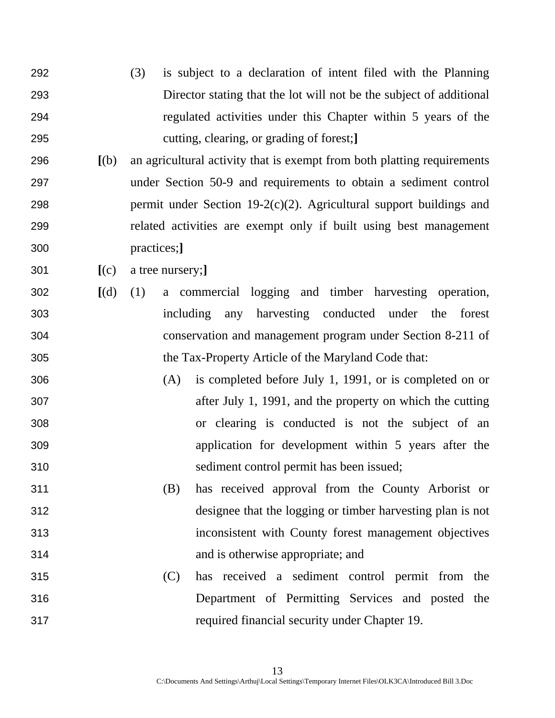- (3) is subject to a declaration of intent filed with the Planning Director stating that the lot will not be the subject of additional regulated activities under this Chapter within 5 years of the cutting, clearing, or grading of forest;**]**
- **[**(b) an agricultural activity that is exempt from both platting requirements under Section 50-9 and requirements to obtain a sediment control 298 permit under Section  $19-2(c)(2)$ . Agricultural support buildings and related activities are exempt only if built using best management practices;**]**
- **[**(c) a tree nursery;**]**
- **[**(d) (1) a commercial logging and timber harvesting operation, including any harvesting conducted under the forest conservation and management program under Section 8-211 of the Tax-Property Article of the Maryland Code that:
- (A) is completed before July 1, 1991, or is completed on or after July 1, 1991, and the property on which the cutting or clearing is conducted is not the subject of an application for development within 5 years after the sediment control permit has been issued;
- (B) has received approval from the County Arborist or designee that the logging or timber harvesting plan is not inconsistent with County forest management objectives and is otherwise appropriate; and
- (C) has received a sediment control permit from the Department of Permitting Services and posted the required financial security under Chapter 19.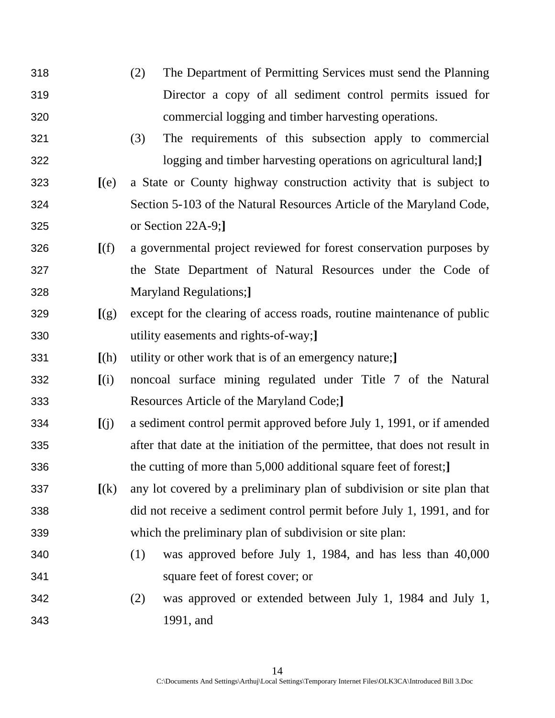- (2) The Department of Permitting Services must send the Planning Director a copy of all sediment control permits issued for commercial logging and timber harvesting operations.
- (3) The requirements of this subsection apply to commercial logging and timber harvesting operations on agricultural land;**]**
- **[**(e) a State or County highway construction activity that is subject to Section 5-103 of the Natural Resources Article of the Maryland Code, or Section 22A-9;**]**
- **[**(f) a governmental project reviewed for forest conservation purposes by the State Department of Natural Resources under the Code of Maryland Regulations;**]**
- **[**(g) except for the clearing of access roads, routine maintenance of public utility easements and rights-of-way;**]**
- **[**(h) utility or other work that is of an emergency nature;**]**
- **[**(i) noncoal surface mining regulated under Title 7 of the Natural Resources Article of the Maryland Code;**]**
- **[**(j) a sediment control permit approved before July 1, 1991, or if amended after that date at the initiation of the permittee, that does not result in the cutting of more than 5,000 additional square feet of forest;**]**
- **[**(k) any lot covered by a preliminary plan of subdivision or site plan that did not receive a sediment control permit before July 1, 1991, and for which the preliminary plan of subdivision or site plan:
- (1) was approved before July 1, 1984, and has less than 40,000 square feet of forest cover; or
- (2) was approved or extended between July 1, 1984 and July 1, 1991, and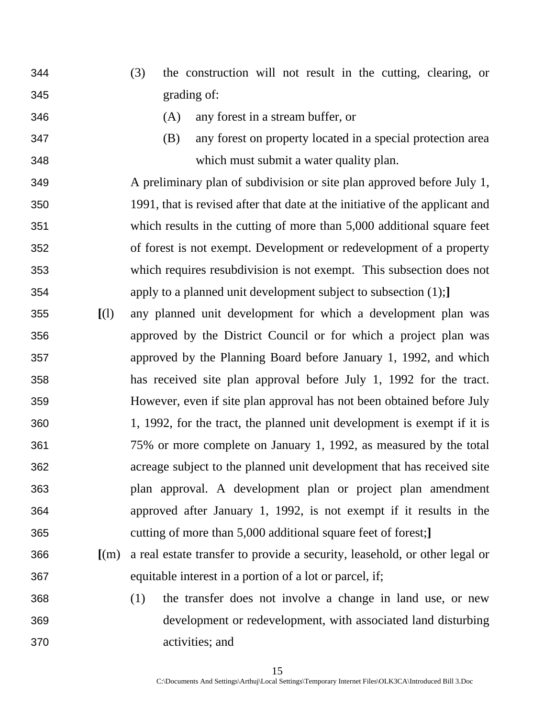- (3) the construction will not result in the cutting, clearing, or grading of:
- 
- (A) any forest in a stream buffer, or
- (B) any forest on property located in a special protection area which must submit a water quality plan.
- A preliminary plan of subdivision or site plan approved before July 1, 1991, that is revised after that date at the initiative of the applicant and which results in the cutting of more than 5,000 additional square feet of forest is not exempt. Development or redevelopment of a property which requires resubdivision is not exempt. This subsection does not apply to a planned unit development subject to subsection (1);**]**
- **[**(l) any planned unit development for which a development plan was approved by the District Council or for which a project plan was approved by the Planning Board before January 1, 1992, and which has received site plan approval before July 1, 1992 for the tract. However, even if site plan approval has not been obtained before July 1, 1992, for the tract, the planned unit development is exempt if it is 75% or more complete on January 1, 1992, as measured by the total acreage subject to the planned unit development that has received site plan approval. A development plan or project plan amendment approved after January 1, 1992, is not exempt if it results in the cutting of more than 5,000 additional square feet of forest;**]**
- **[**(m) a real estate transfer to provide a security, leasehold, or other legal or equitable interest in a portion of a lot or parcel, if;
- (1) the transfer does not involve a change in land use, or new development or redevelopment, with associated land disturbing activities; and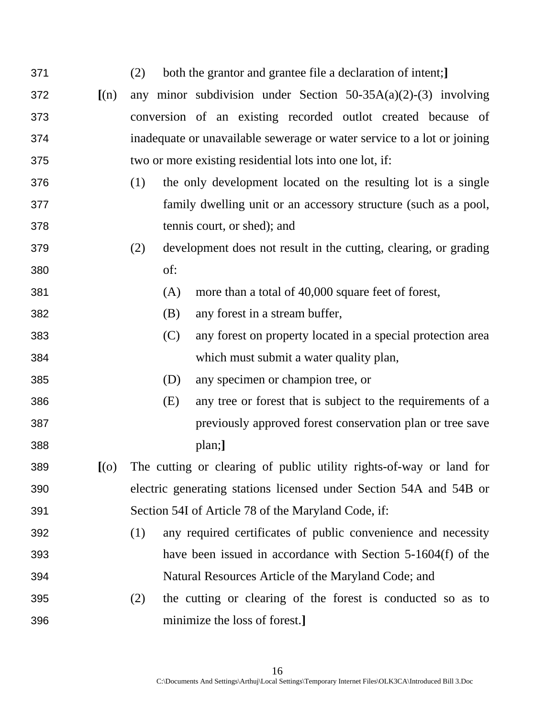| 371 |         | both the grantor and grantee file a declaration of intent;]<br>(2)      |
|-----|---------|-------------------------------------------------------------------------|
| 372 | (n)     | any minor subdivision under Section $50-35A(a)(2)-(3)$ involving        |
| 373 |         | conversion of an existing recorded outlot created because of            |
| 374 |         | inadequate or unavailable sewerage or water service to a lot or joining |
| 375 |         | two or more existing residential lots into one lot, if:                 |
| 376 |         | the only development located on the resulting lot is a single<br>(1)    |
| 377 |         | family dwelling unit or an accessory structure (such as a pool,         |
| 378 |         | tennis court, or shed); and                                             |
| 379 |         | development does not result in the cutting, clearing, or grading<br>(2) |
| 380 |         | of:                                                                     |
| 381 |         | (A)<br>more than a total of 40,000 square feet of forest,               |
| 382 |         | (B)<br>any forest in a stream buffer,                                   |
| 383 |         | (C)<br>any forest on property located in a special protection area      |
| 384 |         | which must submit a water quality plan,                                 |
| 385 |         | (D)<br>any specimen or champion tree, or                                |
| 386 |         | (E)<br>any tree or forest that is subject to the requirements of a      |
| 387 |         | previously approved forest conservation plan or tree save               |
| 388 |         | plan;]                                                                  |
| 389 | $[$ (0) | The cutting or clearing of public utility rights-of-way or land for     |
| 390 |         | electric generating stations licensed under Section 54A and 54B or      |
| 391 |         | Section 54I of Article 78 of the Maryland Code, if:                     |
| 392 |         | any required certificates of public convenience and necessity<br>(1)    |
| 393 |         | have been issued in accordance with Section 5-1604(f) of the            |
| 394 |         | Natural Resources Article of the Maryland Code; and                     |
| 395 |         | the cutting or clearing of the forest is conducted so as to<br>(2)      |
| 396 |         | minimize the loss of forest.]                                           |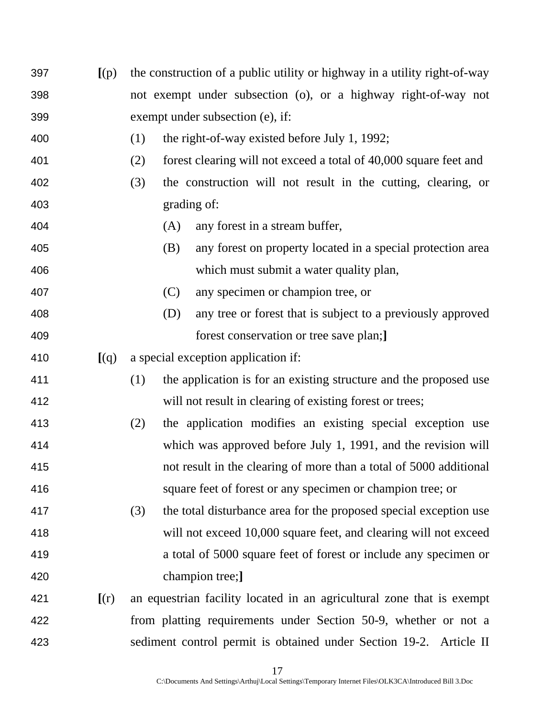| 397 | [(p)]                       |     | the construction of a public utility or highway in a utility right-of-way |
|-----|-----------------------------|-----|---------------------------------------------------------------------------|
| 398 |                             |     | not exempt under subsection (o), or a highway right-of-way not            |
| 399 |                             |     | exempt under subsection (e), if:                                          |
| 400 |                             | (1) | the right-of-way existed before July 1, 1992;                             |
| 401 |                             | (2) | forest clearing will not exceed a total of 40,000 square feet and         |
| 402 |                             | (3) | the construction will not result in the cutting, clearing, or             |
| 403 |                             |     | grading of:                                                               |
| 404 |                             |     | any forest in a stream buffer,<br>(A)                                     |
| 405 |                             |     | any forest on property located in a special protection area<br>(B)        |
| 406 |                             |     | which must submit a water quality plan,                                   |
| 407 |                             |     | (C)<br>any specimen or champion tree, or                                  |
| 408 |                             |     | any tree or forest that is subject to a previously approved<br>(D)        |
| 409 |                             |     | forest conservation or tree save plan;                                    |
| 410 | [(q)]                       |     | a special exception application if:                                       |
| 411 |                             | (1) | the application is for an existing structure and the proposed use         |
| 412 |                             |     | will not result in clearing of existing forest or trees;                  |
| 413 |                             | (2) | the application modifies an existing special exception use                |
| 414 |                             |     | which was approved before July 1, 1991, and the revision will             |
| 415 |                             |     | not result in the clearing of more than a total of 5000 additional        |
| 416 |                             |     | square feet of forest or any specimen or champion tree; or                |
| 417 |                             | (3) | the total disturbance area for the proposed special exception use         |
| 418 |                             |     | will not exceed 10,000 square feet, and clearing will not exceed          |
| 419 |                             |     | a total of 5000 square feet of forest or include any specimen or          |
| 420 |                             |     | champion tree;]                                                           |
| 421 | $\left[ \text{(r)} \right]$ |     | an equestrian facility located in an agricultural zone that is exempt     |
| 422 |                             |     | from platting requirements under Section 50-9, whether or not a           |
| 423 |                             |     | sediment control permit is obtained under Section 19-2. Article II        |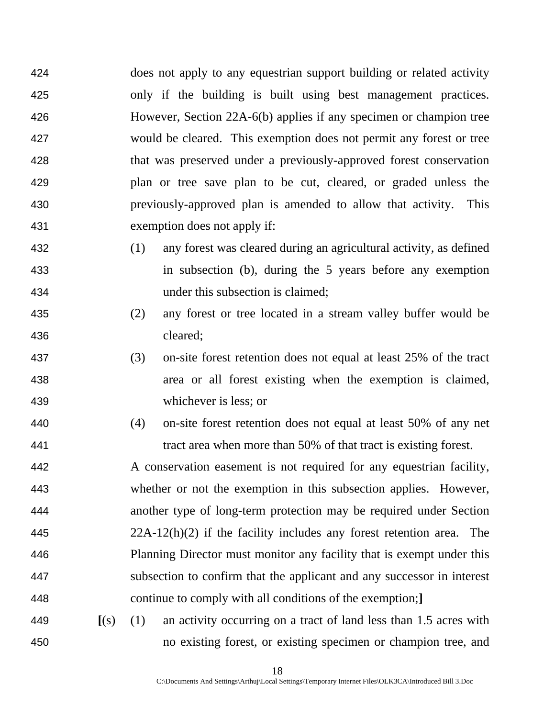does not apply to any equestrian support building or related activity only if the building is built using best management practices. However, Section 22A-6(b) applies if any specimen or champion tree would be cleared. This exemption does not permit any forest or tree that was preserved under a previously-approved forest conservation plan or tree save plan to be cut, cleared, or graded unless the previously-approved plan is amended to allow that activity. This exemption does not apply if:

- (1) any forest was cleared during an agricultural activity, as defined in subsection (b), during the 5 years before any exemption under this subsection is claimed;
- (2) any forest or tree located in a stream valley buffer would be cleared;
- (3) on-site forest retention does not equal at least 25% of the tract area or all forest existing when the exemption is claimed, whichever is less; or
- (4) on-site forest retention does not equal at least 50% of any net tract area when more than 50% of that tract is existing forest.

A conservation easement is not required for any equestrian facility, whether or not the exemption in this subsection applies. However, another type of long-term protection may be required under Section 22A-12(h)(2) if the facility includes any forest retention area. The Planning Director must monitor any facility that is exempt under this subsection to confirm that the applicant and any successor in interest continue to comply with all conditions of the exemption;**]**

**[**(s) (1) an activity occurring on a tract of land less than 1.5 acres with no existing forest, or existing specimen or champion tree, and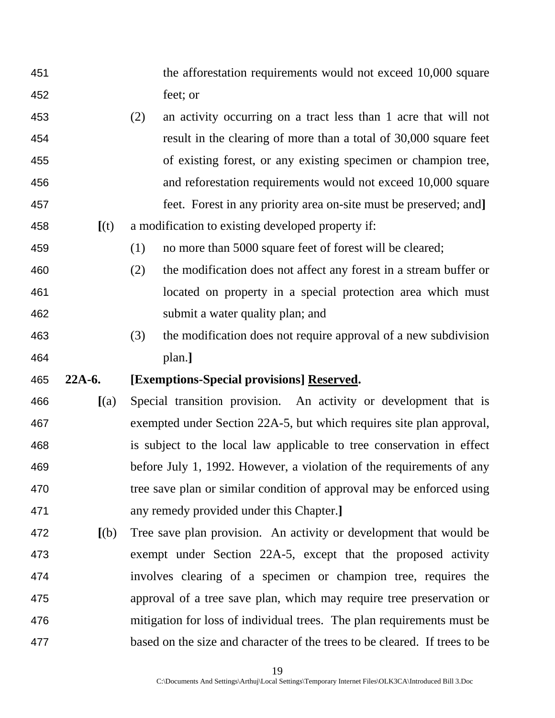- the afforestation requirements would not exceed 10,000 square feet; or
- (2) an activity occurring on a tract less than 1 acre that will not result in the clearing of more than a total of 30,000 square feet of existing forest, or any existing specimen or champion tree, and reforestation requirements would not exceed 10,000 square feet. Forest in any priority area on-site must be preserved; and**]**
- **[**(t) a modification to existing developed property if:

(1) no more than 5000 square feet of forest will be cleared;

- (2) the modification does not affect any forest in a stream buffer or located on property in a special protection area which must submit a water quality plan; and
- (3) the modification does not require approval of a new subdivision plan.**]**

## **22A-6. [Exemptions-Special provisions] Reserved.**

- **[**(a) Special transition provision. An activity or development that is exempted under Section 22A-5, but which requires site plan approval, is subject to the local law applicable to tree conservation in effect before July 1, 1992. However, a violation of the requirements of any 470 tree save plan or similar condition of approval may be enforced using any remedy provided under this Chapter.**]**
- **[**(b) Tree save plan provision. An activity or development that would be exempt under Section 22A-5, except that the proposed activity involves clearing of a specimen or champion tree, requires the approval of a tree save plan, which may require tree preservation or mitigation for loss of individual trees. The plan requirements must be based on the size and character of the trees to be cleared. If trees to be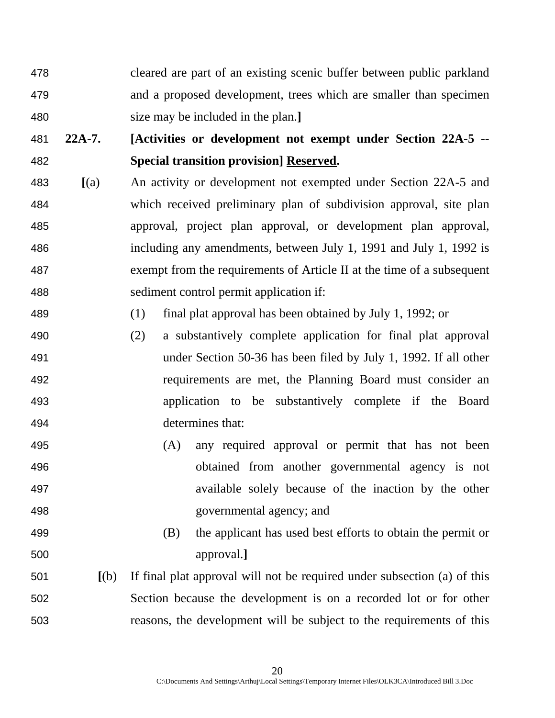- cleared are part of an existing scenic buffer between public parkland and a proposed development, trees which are smaller than specimen size may be included in the plan.**]**
- **22A-7. [Activities or development not exempt under Section 22A-5 -- Special transition provision] Reserved.**
- **[**(a) An activity or development not exempted under Section 22A-5 and which received preliminary plan of subdivision approval, site plan approval, project plan approval, or development plan approval, including any amendments, between July 1, 1991 and July 1, 1992 is exempt from the requirements of Article II at the time of a subsequent sediment control permit application if:
- (1) final plat approval has been obtained by July 1, 1992; or
- (2) a substantively complete application for final plat approval under Section 50-36 has been filed by July 1, 1992. If all other requirements are met, the Planning Board must consider an application to be substantively complete if the Board determines that:
- (A) any required approval or permit that has not been obtained from another governmental agency is not available solely because of the inaction by the other governmental agency; and
- (B) the applicant has used best efforts to obtain the permit or approval.**]**
- **[**(b) If final plat approval will not be required under subsection (a) of this Section because the development is on a recorded lot or for other reasons, the development will be subject to the requirements of this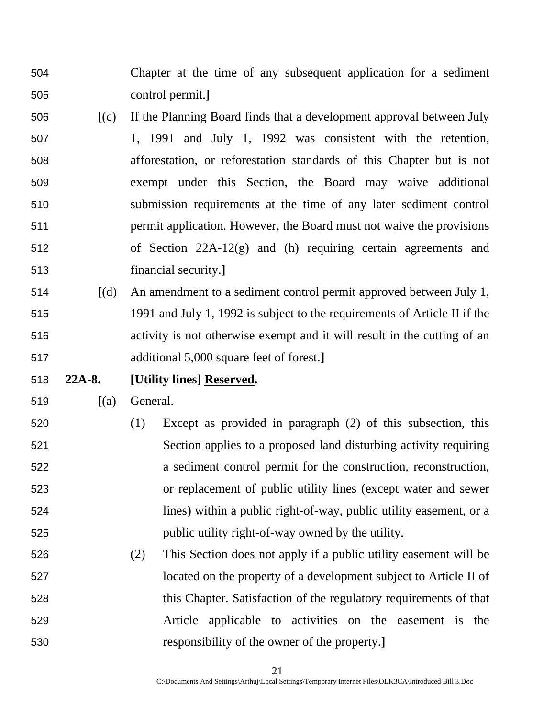Chapter at the time of any subsequent application for a sediment control permit.**]**

- **[**(c) If the Planning Board finds that a development approval between July 1, 1991 and July 1, 1992 was consistent with the retention, afforestation, or reforestation standards of this Chapter but is not exempt under this Section, the Board may waive additional submission requirements at the time of any later sediment control permit application. However, the Board must not waive the provisions of Section 22A-12(g) and (h) requiring certain agreements and financial security.**]**
- **[**(d) An amendment to a sediment control permit approved between July 1, 1991 and July 1, 1992 is subject to the requirements of Article II if the activity is not otherwise exempt and it will result in the cutting of an additional 5,000 square feet of forest.**]**
- **22A-8. [Utility lines] Reserved.**

**[**(a) General.

- (1) Except as provided in paragraph (2) of this subsection, this Section applies to a proposed land disturbing activity requiring a sediment control permit for the construction, reconstruction, or replacement of public utility lines (except water and sewer lines) within a public right-of-way, public utility easement, or a public utility right-of-way owned by the utility.
- (2) This Section does not apply if a public utility easement will be located on the property of a development subject to Article II of this Chapter. Satisfaction of the regulatory requirements of that Article applicable to activities on the easement is the responsibility of the owner of the property.**]**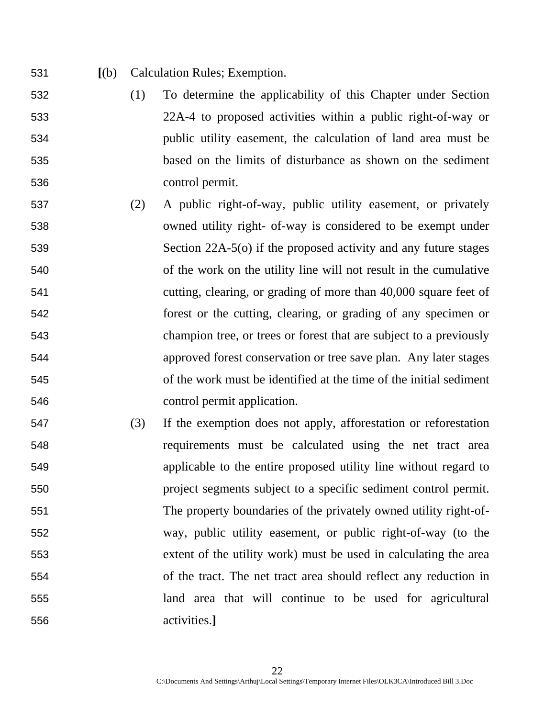- **[**(b) Calculation Rules; Exemption.
- (1) To determine the applicability of this Chapter under Section 22A-4 to proposed activities within a public right-of-way or public utility easement, the calculation of land area must be based on the limits of disturbance as shown on the sediment control permit.
- (2) A public right-of-way, public utility easement, or privately owned utility right- of-way is considered to be exempt under Section 22A-5(o) if the proposed activity and any future stages of the work on the utility line will not result in the cumulative cutting, clearing, or grading of more than 40,000 square feet of forest or the cutting, clearing, or grading of any specimen or champion tree, or trees or forest that are subject to a previously approved forest conservation or tree save plan. Any later stages of the work must be identified at the time of the initial sediment control permit application.
- (3) If the exemption does not apply, afforestation or reforestation requirements must be calculated using the net tract area applicable to the entire proposed utility line without regard to project segments subject to a specific sediment control permit. The property boundaries of the privately owned utility right-of-way, public utility easement, or public right-of-way (to the extent of the utility work) must be used in calculating the area of the tract. The net tract area should reflect any reduction in land area that will continue to be used for agricultural activities.**]**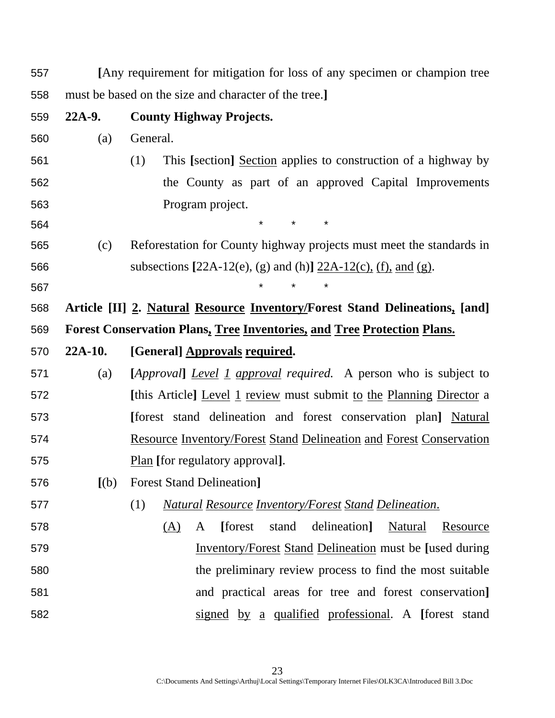| 557 |           | [Any requirement for mitigation for loss of any specimen or champion tree      |  |  |  |  |  |  |
|-----|-----------|--------------------------------------------------------------------------------|--|--|--|--|--|--|
| 558 |           | must be based on the size and character of the tree.]                          |  |  |  |  |  |  |
| 559 | $22A-9.$  | <b>County Highway Projects.</b>                                                |  |  |  |  |  |  |
| 560 | (a)       | General.                                                                       |  |  |  |  |  |  |
| 561 |           | This [section] Section applies to construction of a highway by<br>(1)          |  |  |  |  |  |  |
| 562 |           | the County as part of an approved Capital Improvements                         |  |  |  |  |  |  |
| 563 |           | Program project.                                                               |  |  |  |  |  |  |
| 564 |           | $\star$<br>$\star$<br>$\star$                                                  |  |  |  |  |  |  |
| 565 | (c)       | Reforestation for County highway projects must meet the standards in           |  |  |  |  |  |  |
| 566 |           | subsections [22A-12(e), (g) and (h)] $22A-12(c)$ , (f), and (g).               |  |  |  |  |  |  |
| 567 |           | $^\star$                                                                       |  |  |  |  |  |  |
| 568 |           | Article [II] 2. Natural Resource Inventory/Forest Stand Delineations, [and]    |  |  |  |  |  |  |
| 569 |           | <b>Forest Conservation Plans, Tree Inventories, and Tree Protection Plans.</b> |  |  |  |  |  |  |
| 570 | $22A-10.$ | [General] Approvals required.                                                  |  |  |  |  |  |  |
|     |           |                                                                                |  |  |  |  |  |  |
| 571 | (a)       | [Approval] Level 1 approval required. A person who is subject to               |  |  |  |  |  |  |
| 572 |           | [this Article] Level 1 review must submit to the Planning Director a           |  |  |  |  |  |  |
| 573 |           | [forest stand delineation and forest conservation plan] Natural                |  |  |  |  |  |  |
| 574 |           | <b>Resource Inventory/Forest Stand Delineation and Forest Conservation</b>     |  |  |  |  |  |  |
| 575 |           | Plan [for regulatory approval].                                                |  |  |  |  |  |  |
| 576 | [(b)]     | <b>Forest Stand Delineation</b>                                                |  |  |  |  |  |  |
| 577 |           | (1)<br><b>Natural Resource Inventory/Forest Stand Delineation.</b>             |  |  |  |  |  |  |
| 578 |           | delineation]<br>[forest]<br>stand<br>Natural<br>Resource<br><u>(A)</u><br>A    |  |  |  |  |  |  |
| 579 |           | <b>Inventory/Forest Stand Delineation must be [used during</b>                 |  |  |  |  |  |  |
| 580 |           | the preliminary review process to find the most suitable                       |  |  |  |  |  |  |
| 581 |           | and practical areas for tree and forest conservation]                          |  |  |  |  |  |  |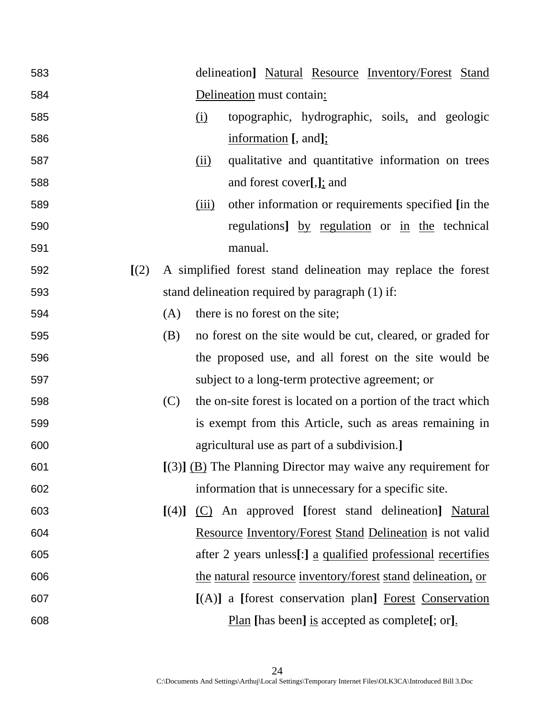| 583 |       |       |            | delineation] Natural Resource Inventory/Forest Stand                |
|-----|-------|-------|------------|---------------------------------------------------------------------|
| 584 |       |       |            | Delineation must contain:                                           |
| 585 |       |       | <u>(i)</u> | topographic, hydrographic, soils, and geologic                      |
| 586 |       |       |            | information [, and];                                                |
| 587 |       |       | (ii)       | qualitative and quantitative information on trees                   |
| 588 |       |       |            | and forest cover[,]; and                                            |
| 589 |       |       | (iii)      | other information or requirements specified [in the                 |
| 590 |       |       |            | regulations] by regulation or in the technical                      |
| 591 |       |       |            | manual.                                                             |
| 592 | [(2)] |       |            | A simplified forest stand delineation may replace the forest        |
| 593 |       |       |            | stand delineation required by paragraph (1) if:                     |
| 594 |       | (A)   |            | there is no forest on the site;                                     |
| 595 |       | (B)   |            | no forest on the site would be cut, cleared, or graded for          |
| 596 |       |       |            | the proposed use, and all forest on the site would be               |
| 597 |       |       |            | subject to a long-term protective agreement; or                     |
| 598 |       | (C)   |            | the on-site forest is located on a portion of the tract which       |
| 599 |       |       |            | is exempt from this Article, such as areas remaining in             |
| 600 |       |       |            | agricultural use as part of a subdivision.]                         |
| 601 |       |       |            | $[(3)]$ (B) The Planning Director may waive any requirement for     |
| 602 |       |       |            | information that is unnecessary for a specific site.                |
| 603 |       | [(4)] |            | (C) An approved [forest stand delineation] Natural                  |
| 604 |       |       |            | <b>Resource Inventory/Forest Stand Delineation</b> is not valid     |
| 605 |       |       |            | after 2 years unless[:] <u>a qualified professional recertifies</u> |
| 606 |       |       |            | the natural resource inventory/forest stand delineation, or         |
| 607 |       |       |            | [(A)] a [forest conservation plan] Forest Conservation              |
| 608 |       |       |            | <u>Plan</u> [has been] <u>is</u> accepted as complete[; or].        |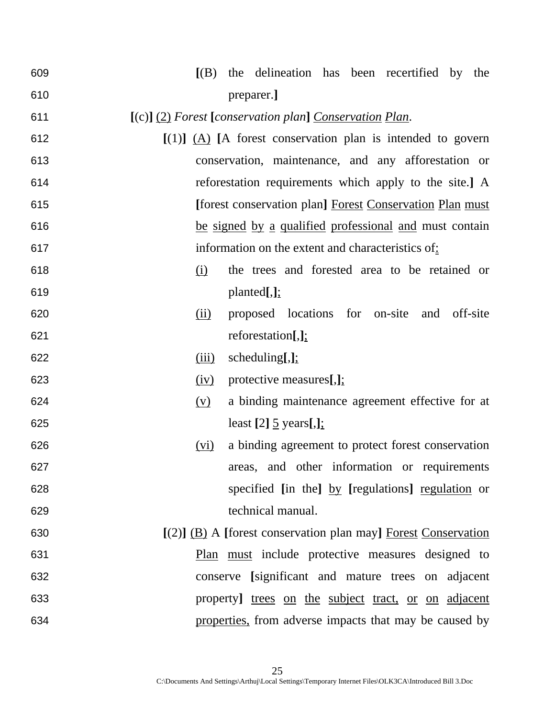| 609 | the delineation has been recertified by<br>[(B)]<br>the          |
|-----|------------------------------------------------------------------|
| 610 | preparer.]                                                       |
| 611 | $[(c)]$ (2) Forest [conservation plan] Conservation Plan.        |
| 612 | $[(1)]$ $(A)$ [A forest conservation plan is intended to govern  |
| 613 | conservation, maintenance, and any afforestation or              |
| 614 | reforestation requirements which apply to the site.] A           |
| 615 | [forest conservation plan] Forest Conservation Plan must         |
| 616 | be signed by a qualified professional and must contain           |
| 617 | information on the extent and characteristics of:                |
| 618 | the trees and forested area to be retained or<br><u>(i)</u>      |
| 619 | planted[,]                                                       |
| 620 | proposed locations for on-site and off-site<br>(ii)              |
| 621 | reforestation $[,]$ :                                            |
| 622 | scheduling $[,]$ ;<br>(iii)                                      |
| 623 | protective measures[,];<br>(iv)                                  |
| 624 | a binding maintenance agreement effective for at<br>(y)          |
| 625 | least $[2]$ $\frac{5}{ }$ years $[,]$ ;                          |
| 626 | a binding agreement to protect forest conservation<br>(vi)       |
| 627 | areas, and other information or requirements                     |
| 628 | specified [in the] by [regulations] regulation or                |
| 629 | technical manual.                                                |
| 630 | $[(2)]$ (B) A [forest conservation plan may] Forest Conservation |
| 631 | Plan must include protective measures designed to                |
| 632 | conserve [significant and mature trees on adjacent               |
| 633 | property] trees on the subject tract, or on adjacent             |
| 634 | properties, from adverse impacts that may be caused by           |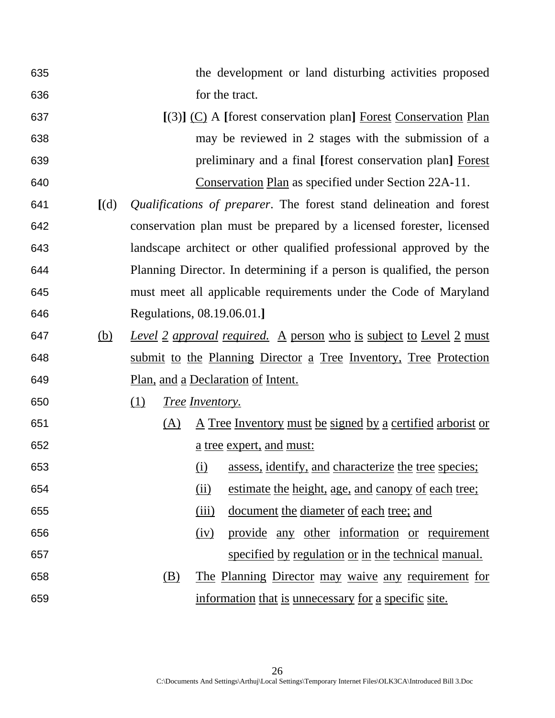- the development or land disturbing activities proposed **for the tract.**
- **[**(3)**]** (C) A **[**forest conservation plan**]** Forest Conservation Plan may be reviewed in 2 stages with the submission of a preliminary and a final **[**forest conservation plan**]** Forest Conservation Plan as specified under Section 22A-11.
- **[**(d)*Qualifications of preparer*. The forest stand delineation and forest conservation plan must be prepared by a licensed forester, licensed landscape architect or other qualified professional approved by the Planning Director. In determining if a person is qualified, the person must meet all applicable requirements under the Code of Maryland Regulations, 08.19.06.01.**]**
- (b) *Level 2 approval required.* A person who is subject to Level 2 must submit to the Planning Director a Tree Inventory, Tree Protection Plan, and a Declaration of Intent.
- (1) *Tree Inventory.*
- (A) A Tree Inventory must be signed by a certified arborist or a tree expert, and must:
- (i) assess, identify, and characterize the tree species; (ii) estimate the height, age, and canopy of each tree;
	- (iii) document the diameter of each tree; and
	- (iv) provide any other information or requirement specified by regulation or in the technical manual.
	- (B) The Planning Director may waive any requirement for information that is unnecessary for a specific site.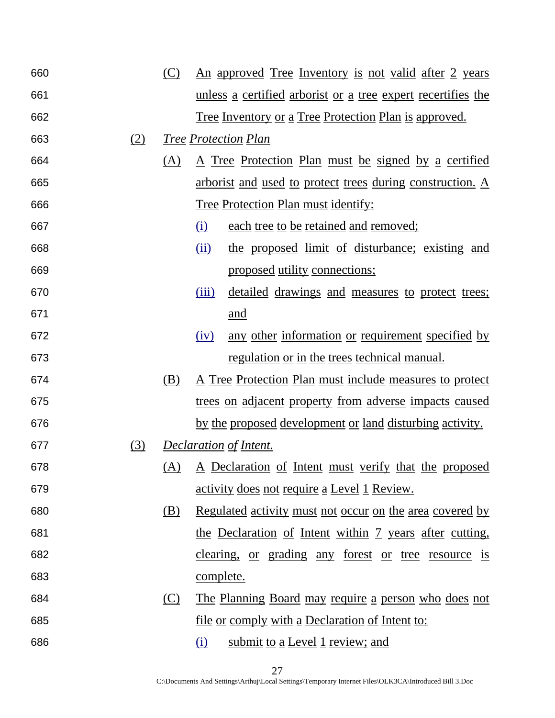| 660 |     | (C) |                               | <u>An approved Tree Inventory is not valid after 2 years</u>        |
|-----|-----|-----|-------------------------------|---------------------------------------------------------------------|
| 661 |     |     |                               | <u>unless a certified arborist or a tree expert recertifies the</u> |
| 662 |     |     |                               | <u>Tree Inventory or a Tree Protection Plan is approved.</u>        |
| 663 | (2) |     | <b>Tree Protection Plan</b>   |                                                                     |
| 664 |     | (A) |                               | <u>A Tree Protection Plan must be signed by a certified</u>         |
| 665 |     |     |                               | <u>arborist and used to protect trees during construction. A</u>    |
| 666 |     |     |                               | <u><b>Tree Protection Plan must identify:</b></u>                   |
| 667 |     |     | <u>(i)</u>                    | each tree to be retained and removed;                               |
| 668 |     |     | (ii)                          | the proposed limit of disturbance; existing and                     |
| 669 |     |     |                               | proposed utility connections;                                       |
| 670 |     |     | (iii)                         | detailed drawings and measures to protect trees;                    |
| 671 |     |     |                               | and                                                                 |
| 672 |     |     | (iv)                          | any other information or requirement specified by                   |
| 673 |     |     |                               | regulation or in the trees technical manual.                        |
| 674 |     | (B) |                               | <u>A Tree Protection Plan must include measures to protect</u>      |
| 675 |     |     |                               | <u>trees on adjacent property from adverse impacts caused</u>       |
| 676 |     |     |                               | by the proposed development or land disturbing activity.            |
| 677 | (3) |     | <b>Declaration of Intent.</b> |                                                                     |
| 678 |     |     |                               | (A) A Declaration of Intent must verify that the proposed           |
| 679 |     |     |                               | <u>activity does not require a Level 1 Review.</u>                  |
| 680 |     | (B) |                               | <u>Regulated activity must not occur on the area covered by</u>     |
| 681 |     |     |                               | the Declaration of Intent within 7 years after cutting,             |
| 682 |     |     |                               | clearing, or grading any forest or tree resource is                 |
| 683 |     |     | <u>complete.</u>              |                                                                     |
| 684 |     | (C) |                               | <u>The Planning Board may require a person who does not</u>         |
| 685 |     |     |                               | <u>file or comply with a Declaration of Intent to:</u>              |
| 686 |     |     | <u>(i)</u>                    | submit to a Level 1 review; and                                     |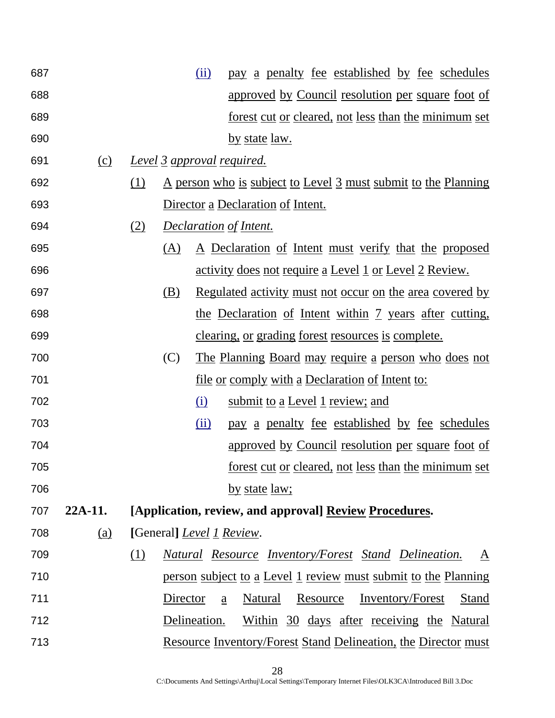| 687 |         |     |          | (ii)<br>pay a penalty fee established by fee schedules                |
|-----|---------|-----|----------|-----------------------------------------------------------------------|
| 688 |         |     |          | approved by Council resolution per square foot of                     |
| 689 |         |     |          | <u>forest cut or cleared, not less than the minimum set</u>           |
| 690 |         |     |          | <u>by state law.</u>                                                  |
| 691 | (c)     |     |          | <u>Level 3 approval required.</u>                                     |
| 692 |         | (1) |          | <u>A person who is subject to Level 3 must submit to the Planning</u> |
| 693 |         |     |          | Director a Declaration of Intent.                                     |
| 694 |         | (2) |          | <b>Declaration of Intent.</b>                                         |
| 695 |         |     | (A)      | <u>A Declaration of Intent must verify that the proposed</u>          |
| 696 |         |     |          | <u>activity does not require a Level 1 or Level 2 Review.</u>         |
| 697 |         |     | (B)      | <u>Regulated activity must not occur on the area covered by</u>       |
| 698 |         |     |          | the Declaration of Intent within 7 years after cutting,               |
| 699 |         |     |          | <u>clearing, or grading forest resources is complete.</u>             |
| 700 |         |     | (C)      | <u>The Planning Board may require a person who does not</u>           |
| 701 |         |     |          | <u>file or comply with a Declaration of Intent to:</u>                |
| 702 |         |     |          | (i)<br>submit to a Level 1 review; and                                |
| 703 |         |     |          | (ii)<br>pay a penalty fee established by fee schedules                |
| 704 |         |     |          | approved by Council resolution per square foot of                     |
| 705 |         |     |          | <u>forest cut or cleared, not less than the minimum set</u>           |
| 706 |         |     |          | by state law;                                                         |
| 707 | 22A-11. |     |          | [Application, review, and approval] Review Procedures.                |
| 708 | (a)     |     |          | [General] <i>Level 1 Review.</i>                                      |
| 709 |         | (1) |          | <u>Natural Resource Inventory/Forest Stand Delineation.</u><br>A      |
| 710 |         |     |          | <u>person subject to a Level 1 review must submit to the Planning</u> |
| 711 |         |     | Director | Resource<br>Natural<br><b>Inventory/Forest</b><br>Stand<br>a          |
| 712 |         |     |          | Delineation.<br>Within 30 days after receiving the Natural            |
| 713 |         |     |          | <u>Resource Inventory/Forest Stand Delineation, the Director must</u> |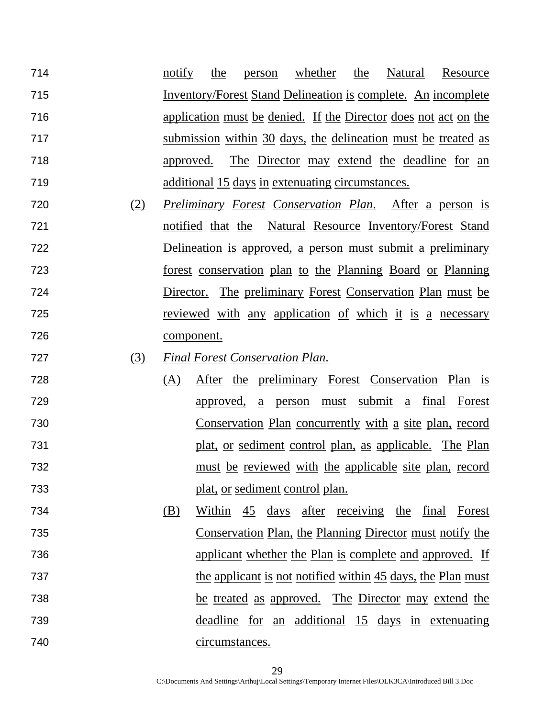714 12 notify the person whether the Natural Resource Inventory/Forest Stand Delineation is complete. An incomplete application must be denied. If the Director does not act on the submission within 30 days, the delineation must be treated as approved. The Director may extend the deadline for an additional 15 days in extenuating circumstances.

- (2) *Preliminary Forest Conservation Plan*. After a person is notified that the Natural Resource Inventory/Forest Stand Delineation is approved, a person must submit a preliminary forest conservation plan to the Planning Board or Planning Director. The preliminary Forest Conservation Plan must be reviewed with any application of which it is a necessary component.
- (3) *Final Forest Conservation Plan*.
- (A) After the preliminary Forest Conservation Plan is approved, a person must submit a final Forest Conservation Plan concurrently with a site plan, record plat, or sediment control plan, as applicable. The Plan must be reviewed with the applicable site plan, record plat, or sediment control plan.
- (B) Within 45 days after receiving the final Forest Conservation Plan, the Planning Director must notify the applicant whether the Plan is complete and approved. If 737 the applicant is not notified within 45 days, the Plan must be treated as approved. The Director may extend the deadline for an additional 15 days in extenuating circumstances.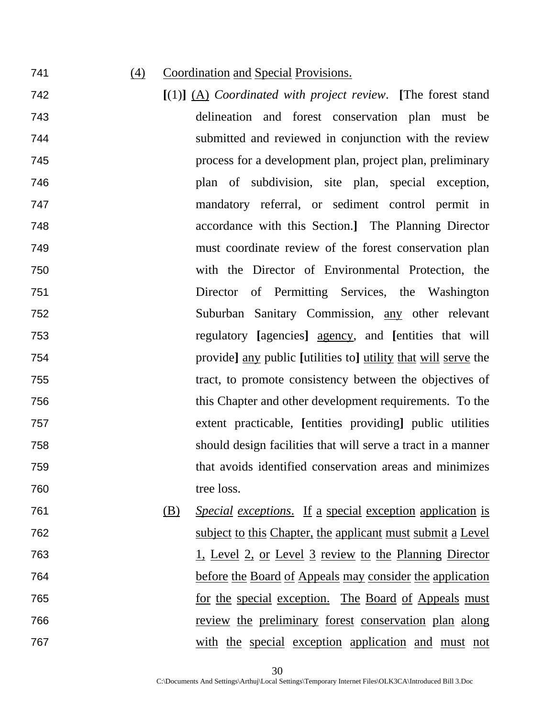#### (4) Coordination and Special Provisions.

- **[**(1)**]** (A) *Coordinated with project review*. **[**The forest stand delineation and forest conservation plan must be submitted and reviewed in conjunction with the review process for a development plan, project plan, preliminary plan of subdivision, site plan, special exception, mandatory referral, or sediment control permit in accordance with this Section.**]** The Planning Director must coordinate review of the forest conservation plan with the Director of Environmental Protection, the Director of Permitting Services, the Washington Suburban Sanitary Commission, any other relevant regulatory **[**agencies**]** agency, and **[**entities that will provide**]** any public **[**utilities to**]** utility that will serve the tract, to promote consistency between the objectives of this Chapter and other development requirements. To the extent practicable, **[**entities providing**]** public utilities should design facilities that will serve a tract in a manner that avoids identified conservation areas and minimizes 760 tree loss.
- (B) *Special exceptions*. If a special exception application is subject to this Chapter, the applicant must submit a Level 1, Level 2, or Level 3 review to the Planning Director before the Board of Appeals may consider the application for the special exception. The Board of Appeals must review the preliminary forest conservation plan along with the special exception application and must not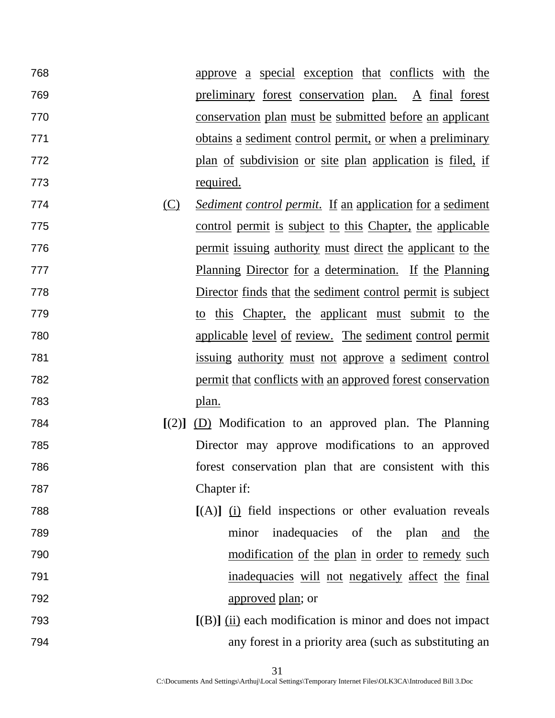approve a special exception that conflicts with the preliminary forest conservation plan. A final forest conservation plan must be submitted before an applicant obtains a sediment control permit, or when a preliminary plan of subdivision or site plan application is filed, if required.

- (C) *Sediment control permit*. If an application for a sediment control permit is subject to this Chapter, the applicable **permit** issuing authority must direct the applicant to the Planning Director for a determination. If the Planning Director finds that the sediment control permit is subject to this Chapter, the applicant must submit to the applicable level of review. The sediment control permit issuing authority must not approve a sediment control permit that conflicts with an approved forest conservation plan.
- **[**(2)**]** (D) Modification to an approved plan. The Planning Director may approve modifications to an approved forest conservation plan that are consistent with this Chapter if:
- **[**(A)**]** (i) field inspections or other evaluation reveals minor inadequacies of the plan and the modification of the plan in order to remedy such inadequacies will not negatively affect the final approved plan; or
- **[**(B)**]** (ii) each modification is minor and does not impact any forest in a priority area (such as substituting an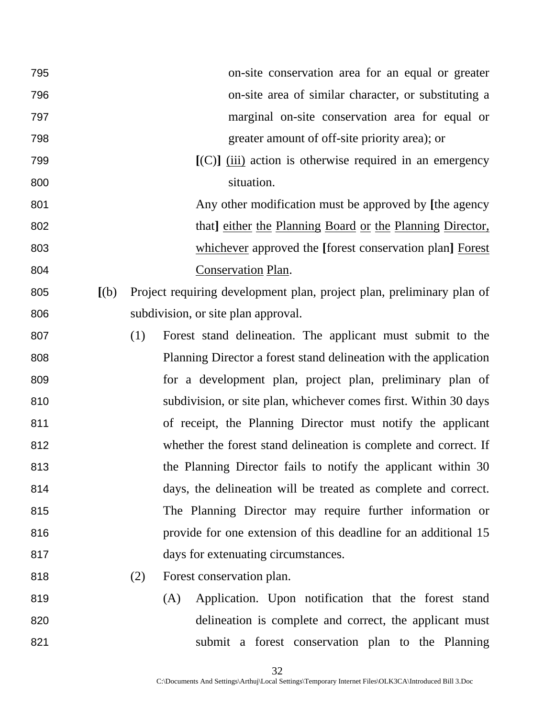| 795 |       | on-site conservation area for an equal or greater                     |
|-----|-------|-----------------------------------------------------------------------|
| 796 |       | on-site area of similar character, or substituting a                  |
| 797 |       | marginal on-site conservation area for equal or                       |
| 798 |       | greater amount of off-site priority area); or                         |
| 799 |       | $[(C)]$ $(iii)$ action is otherwise required in an emergency          |
| 800 |       | situation.                                                            |
| 801 |       | Any other modification must be approved by [the agency                |
| 802 |       | that] either the Planning Board or the Planning Director,             |
| 803 |       | whichever approved the [forest conservation plan] Forest              |
| 804 |       | Conservation Plan.                                                    |
| 805 | [(b)] | Project requiring development plan, project plan, preliminary plan of |
| 806 |       | subdivision, or site plan approval.                                   |
| 807 |       | Forest stand delineation. The applicant must submit to the<br>(1)     |
| 808 |       | Planning Director a forest stand delineation with the application     |
| 809 |       | for a development plan, project plan, preliminary plan of             |
| 810 |       | subdivision, or site plan, whichever comes first. Within 30 days      |
| 811 |       | of receipt, the Planning Director must notify the applicant           |
| 812 |       | whether the forest stand delineation is complete and correct. If      |
| 813 |       | the Planning Director fails to notify the applicant within 30         |
| 814 |       | days, the delineation will be treated as complete and correct.        |
| 815 |       | The Planning Director may require further information or              |
| 816 |       | provide for one extension of this deadline for an additional 15       |
| 817 |       | days for extenuating circumstances.                                   |
| 818 |       | Forest conservation plan.<br>(2)                                      |
| 819 |       | Application. Upon notification that the forest stand<br>(A)           |
| 820 |       | delineation is complete and correct, the applicant must               |
| 821 |       | submit a forest conservation plan to the Planning                     |
|     |       |                                                                       |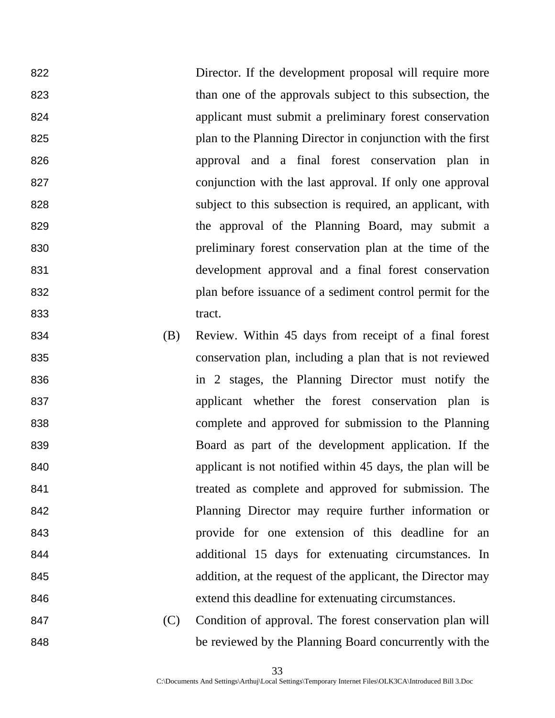Director. If the development proposal will require more than one of the approvals subject to this subsection, the applicant must submit a preliminary forest conservation plan to the Planning Director in conjunction with the first approval and a final forest conservation plan in conjunction with the last approval. If only one approval subject to this subsection is required, an applicant, with the approval of the Planning Board, may submit a preliminary forest conservation plan at the time of the development approval and a final forest conservation plan before issuance of a sediment control permit for the 833 tract.

- (B) Review. Within 45 days from receipt of a final forest conservation plan, including a plan that is not reviewed in 2 stages, the Planning Director must notify the applicant whether the forest conservation plan is complete and approved for submission to the Planning Board as part of the development application. If the applicant is not notified within 45 days, the plan will be treated as complete and approved for submission. The Planning Director may require further information or provide for one extension of this deadline for an additional 15 days for extenuating circumstances. In addition, at the request of the applicant, the Director may extend this deadline for extenuating circumstances.
- (C) Condition of approval. The forest conservation plan will be reviewed by the Planning Board concurrently with the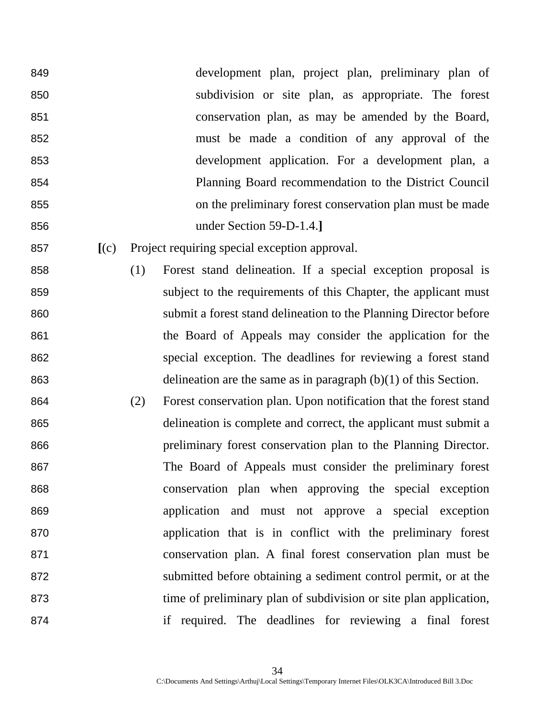development plan, project plan, preliminary plan of subdivision or site plan, as appropriate. The forest conservation plan, as may be amended by the Board, must be made a condition of any approval of the development application. For a development plan, a Planning Board recommendation to the District Council on the preliminary forest conservation plan must be made under Section 59-D-1.4.**]**

- **[**(c) Project requiring special exception approval.
- (1) Forest stand delineation. If a special exception proposal is subject to the requirements of this Chapter, the applicant must submit a forest stand delineation to the Planning Director before the Board of Appeals may consider the application for the special exception. The deadlines for reviewing a forest stand delineation are the same as in paragraph (b)(1) of this Section.
- (2) Forest conservation plan. Upon notification that the forest stand delineation is complete and correct, the applicant must submit a preliminary forest conservation plan to the Planning Director. The Board of Appeals must consider the preliminary forest conservation plan when approving the special exception application and must not approve a special exception application that is in conflict with the preliminary forest conservation plan. A final forest conservation plan must be submitted before obtaining a sediment control permit, or at the time of preliminary plan of subdivision or site plan application, if required. The deadlines for reviewing a final forest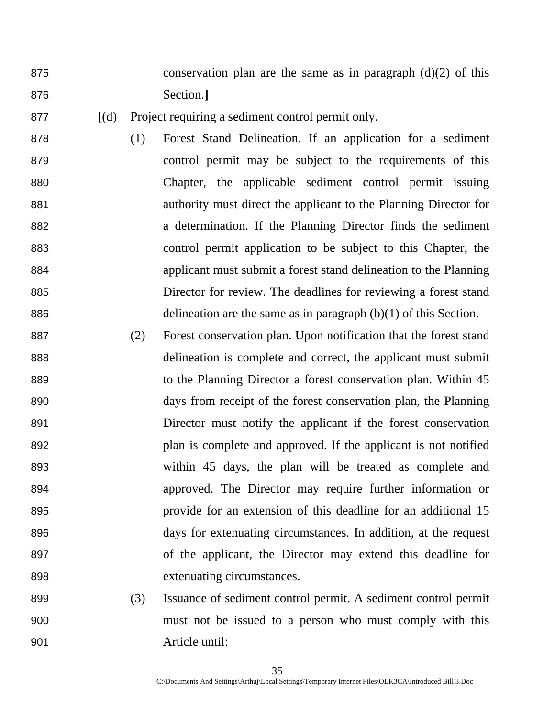875 conservation plan are the same as in paragraph  $(d)(2)$  of this Section.**]**

- **[**(d) Project requiring a sediment control permit only.
- (1) Forest Stand Delineation. If an application for a sediment control permit may be subject to the requirements of this Chapter, the applicable sediment control permit issuing authority must direct the applicant to the Planning Director for a determination. If the Planning Director finds the sediment control permit application to be subject to this Chapter, the applicant must submit a forest stand delineation to the Planning Director for review. The deadlines for reviewing a forest stand delineation are the same as in paragraph (b)(1) of this Section.
- (2) Forest conservation plan. Upon notification that the forest stand delineation is complete and correct, the applicant must submit to the Planning Director a forest conservation plan. Within 45 days from receipt of the forest conservation plan, the Planning Director must notify the applicant if the forest conservation plan is complete and approved. If the applicant is not notified within 45 days, the plan will be treated as complete and approved. The Director may require further information or provide for an extension of this deadline for an additional 15 days for extenuating circumstances. In addition, at the request of the applicant, the Director may extend this deadline for extenuating circumstances.
- (3) Issuance of sediment control permit. A sediment control permit must not be issued to a person who must comply with this Article until: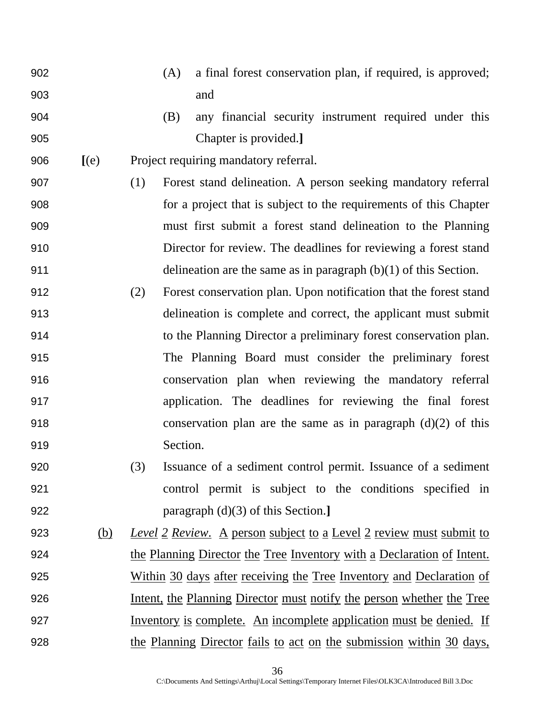(A) a final forest conservation plan, if required, is approved; and (B) any financial security instrument required under this Chapter is provided.**] [**(e) Project requiring mandatory referral. (1) Forest stand delineation. A person seeking mandatory referral for a project that is subject to the requirements of this Chapter must first submit a forest stand delineation to the Planning Director for review. The deadlines for reviewing a forest stand delineation are the same as in paragraph (b)(1) of this Section. (2) Forest conservation plan. Upon notification that the forest stand delineation is complete and correct, the applicant must submit to the Planning Director a preliminary forest conservation plan. The Planning Board must consider the preliminary forest conservation plan when reviewing the mandatory referral application. The deadlines for reviewing the final forest conservation plan are the same as in paragraph (d)(2) of this 919 Section. (3) Issuance of a sediment control permit. Issuance of a sediment control permit is subject to the conditions specified in paragraph (d)(3) of this Section.**]** (b) *Level 2 Review*. A person subject to a Level 2 review must submit to the Planning Director the Tree Inventory with a Declaration of Intent. Within 30 days after receiving the Tree Inventory and Declaration of Intent, the Planning Director must notify the person whether the Tree Inventory is complete. An incomplete application must be denied. If the Planning Director fails to act on the submission within 30 days,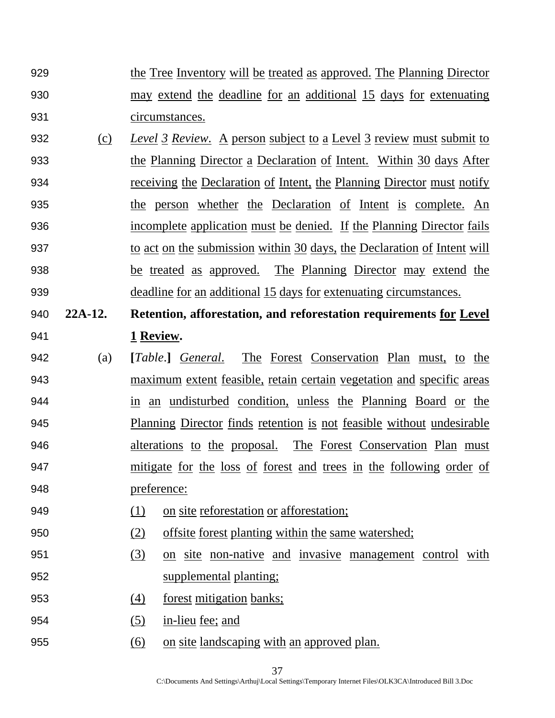- the Tree Inventory will be treated as approved. The Planning Director may extend the deadline for an additional 15 days for extenuating circumstances.
- (c) *Level 3 Review*. A person subject to a Level 3 review must submit to the Planning Director a Declaration of Intent. Within 30 days After receiving the Declaration of Intent, the Planning Director must notify the person whether the Declaration of Intent is complete. An incomplete application must be denied. If the Planning Director fails 937 to act on the submission within 30 days, the Declaration of Intent will be treated as approved. The Planning Director may extend the deadline for an additional 15 days for extenuating circumstances.
- **22A-12. Retention, afforestation, and reforestation requirements for Level 1 Review.**
- (a) **[***Table*.**]** *General*. The Forest Conservation Plan must, to the maximum extent feasible, retain certain vegetation and specific areas in an undisturbed condition, unless the Planning Board or the Planning Director finds retention is not feasible without undesirable alterations to the proposal. The Forest Conservation Plan must 947 mitigate for the loss of forest and trees in the following order of preference:
- (1) on site reforestation or afforestation;
- (2) offsite forest planting within the same watershed;
- (3) on site non-native and invasive management control with supplemental planting;
- (4) forest mitigation banks;
- (5) in-lieu fee; and
- (6) on site landscaping with an approved plan.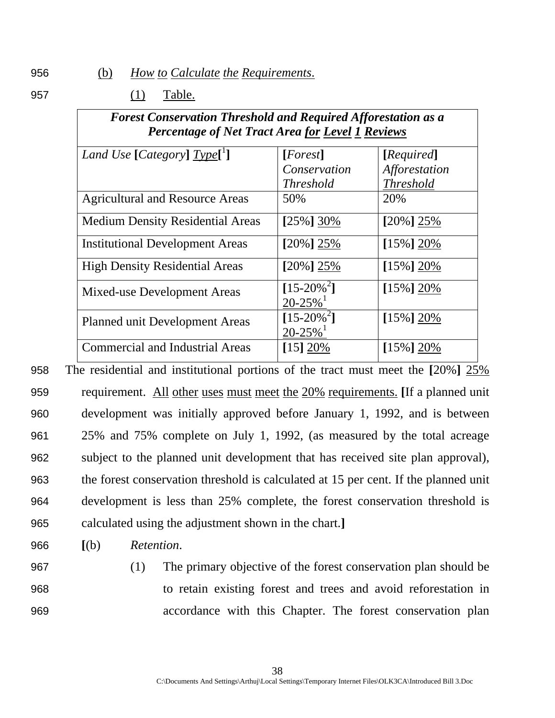956 (b) *How to Calculate the Requirements*.

957 (1) Table.

| <b>Forest Conservation Threshold and Required Afforestation as a</b> |
|----------------------------------------------------------------------|
| <b>Percentage of Net Tract Area for Level 1 Reviews</b>              |

| Land Use [Category] Type <sup>[1</sup> ] | [Forest]                                 | [Required]       |
|------------------------------------------|------------------------------------------|------------------|
|                                          | Conservation                             | Afforestation    |
|                                          | <i>Threshold</i>                         | <b>Threshold</b> |
| <b>Agricultural and Resource Areas</b>   | 50%                                      | 20%              |
| <b>Medium Density Residential Areas</b>  | $[25\%]30\%$                             | $[20\%]$ 25%     |
| <b>Institutional Development Areas</b>   | $[20\%] 25\%$                            | $[15\%]20\%$     |
| <b>High Density Residential Areas</b>    | $[20\%] 25\%$                            | $[15\%]20\%$     |
| Mixed-use Development Areas              | $[15-20\%^2]$<br>$20 - 25%$ <sup>1</sup> | $[15\%]20\%$     |
| <b>Planned unit Development Areas</b>    | $[15-20\%^2]$<br>$20 - 25%$ <sup>1</sup> | $[15\%] 20\%$    |
| <b>Commercial and Industrial Areas</b>   | [15] 20%                                 | $[15\%]20\%$     |

The residential and institutional portions of the tract must meet the **[**20%**]** 25% requirement. All other uses must meet the 20% requirements. **[**If a planned unit development was initially approved before January 1, 1992, and is between 25% and 75% complete on July 1, 1992, (as measured by the total acreage subject to the planned unit development that has received site plan approval), the forest conservation threshold is calculated at 15 per cent. If the planned unit development is less than 25% complete, the forest conservation threshold is calculated using the adjustment shown in the chart.**]**

966 **[**(b) *Retention*.

- 
- 

967 (1) The primary objective of the forest conservation plan should be 968 to retain existing forest and trees and avoid reforestation in 969 accordance with this Chapter. The forest conservation plan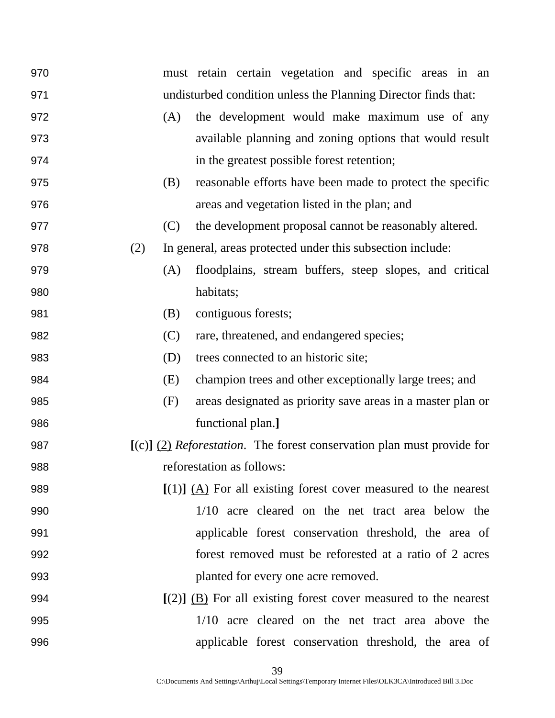| 970 | must retain certain vegetation and specific areas in an                          |
|-----|----------------------------------------------------------------------------------|
| 971 | undisturbed condition unless the Planning Director finds that:                   |
| 972 | the development would make maximum use of any<br>(A)                             |
| 973 | available planning and zoning options that would result                          |
| 974 | in the greatest possible forest retention;                                       |
| 975 | reasonable efforts have been made to protect the specific<br>(B)                 |
| 976 | areas and vegetation listed in the plan; and                                     |
| 977 | the development proposal cannot be reasonably altered.<br>(C)                    |
| 978 | (2)<br>In general, areas protected under this subsection include:                |
| 979 | floodplains, stream buffers, steep slopes, and critical<br>(A)                   |
| 980 | habitats;                                                                        |
| 981 | contiguous forests;<br>(B)                                                       |
| 982 | (C)<br>rare, threatened, and endangered species;                                 |
| 983 | (D)<br>trees connected to an historic site;                                      |
| 984 | champion trees and other exceptionally large trees; and<br>(E)                   |
| 985 | areas designated as priority save areas in a master plan or<br>(F)               |
| 986 | functional plan.]                                                                |
| 987 | $[(c)]$ (2) <i>Reforestation</i> . The forest conservation plan must provide for |
| 988 | reforestation as follows:                                                        |
| 989 | $[(1)]$ $(A)$ For all existing forest cover measured to the nearest              |
| 990 | 1/10 acre cleared on the net tract area below the                                |
| 991 | applicable forest conservation threshold, the area of                            |
| 992 | forest removed must be reforested at a ratio of 2 acres                          |
| 993 | planted for every one acre removed.                                              |
| 994 | $[(2)]$ (B) For all existing forest cover measured to the nearest                |
| 995 | 1/10 acre cleared on the net tract area above the                                |
| 996 | applicable forest conservation threshold, the area of                            |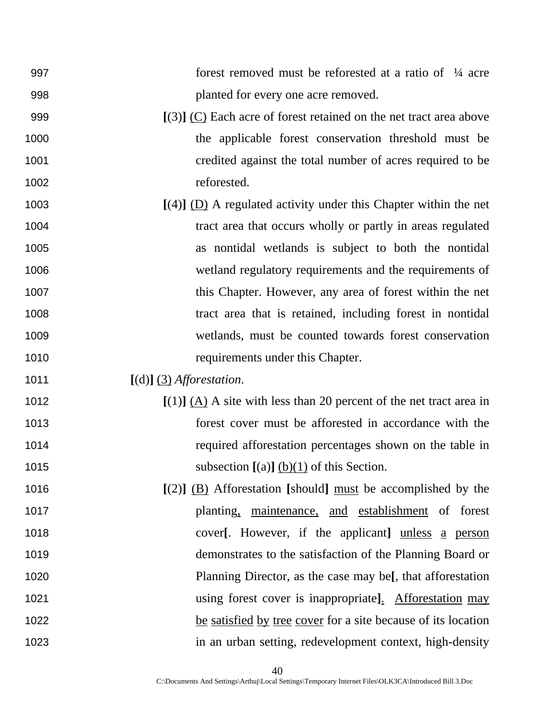| 997  | forest removed must be reforested at a ratio of $\frac{1}{4}$ acre    |
|------|-----------------------------------------------------------------------|
| 998  | planted for every one acre removed.                                   |
| 999  | $[(3)]$ (C) Each acre of forest retained on the net tract area above  |
| 1000 | the applicable forest conservation threshold must be                  |
| 1001 | credited against the total number of acres required to be             |
| 1002 | reforested.                                                           |
| 1003 | $[(4)]$ (D) A regulated activity under this Chapter within the net    |
| 1004 | tract area that occurs wholly or partly in areas regulated            |
| 1005 | as nontidal wetlands is subject to both the nontidal                  |
| 1006 | wetland regulatory requirements and the requirements of               |
| 1007 | this Chapter. However, any area of forest within the net              |
| 1008 | tract area that is retained, including forest in nontidal             |
| 1009 | wetlands, must be counted towards forest conservation                 |
| 1010 | requirements under this Chapter.                                      |
| 1011 | $[(d)]$ $(3)$ <i>Afforestation.</i>                                   |
| 1012 | $[(1)]$ (A) A site with less than 20 percent of the net tract area in |
| 1013 | forest cover must be afforested in accordance with the                |
| 1014 | required afforestation percentages shown on the table in              |
| 1015 | subsection $[(a)]$ $(b)(1)$ of this Section.                          |
| 1016 | $[(2)]$ (B) Afforestation [should] must be accomplished by the        |
| 1017 | planting, maintenance, and establishment of forest                    |
| 1018 | cover[. However, if the applicant] unless a person                    |
| 1019 | demonstrates to the satisfaction of the Planning Board or             |
| 1020 | Planning Director, as the case may be[, that afforestation            |
| 1021 | using forest cover is inappropriate]. Afforestation may               |
| 1022 | be satisfied by tree cover for a site because of its location         |
| 1023 | in an urban setting, redevelopment context, high-density              |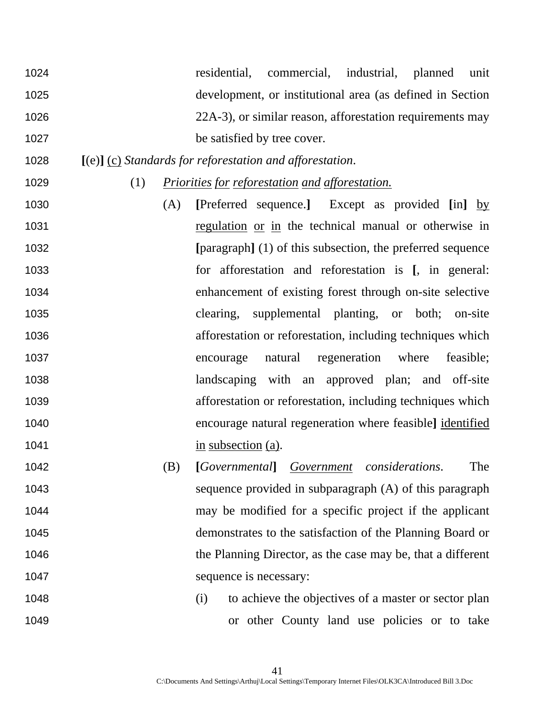- residential, commercial, industrial, planned unit development, or institutional area (as defined in Section 1026 22A-3), or similar reason, afforestation requirements may 1027 be satisfied by tree cover.
- **[**(e)**]** (c) *Standards for reforestation and afforestation*.
- 

(1) *Priorities for reforestation and afforestation.*

- (A) **[**Preferred sequence.**]** Except as provided **[**in**]** by regulation or in the technical manual or otherwise in **[**paragraph**]** (1) of this subsection, the preferred sequence for afforestation and reforestation is **[**, in general: enhancement of existing forest through on-site selective clearing, supplemental planting, or both; on-site afforestation or reforestation, including techniques which encourage natural regeneration where feasible; landscaping with an approved plan; and off-site afforestation or reforestation, including techniques which encourage natural regeneration where feasible**]** identified 1041 in subsection (a).
- (B) **[***Governmental***]** *Government considerations*. The sequence provided in subparagraph (A) of this paragraph may be modified for a specific project if the applicant demonstrates to the satisfaction of the Planning Board or the Planning Director, as the case may be, that a different 1047 sequence is necessary:
- 1048 (i) to achieve the objectives of a master or sector plan or other County land use policies or to take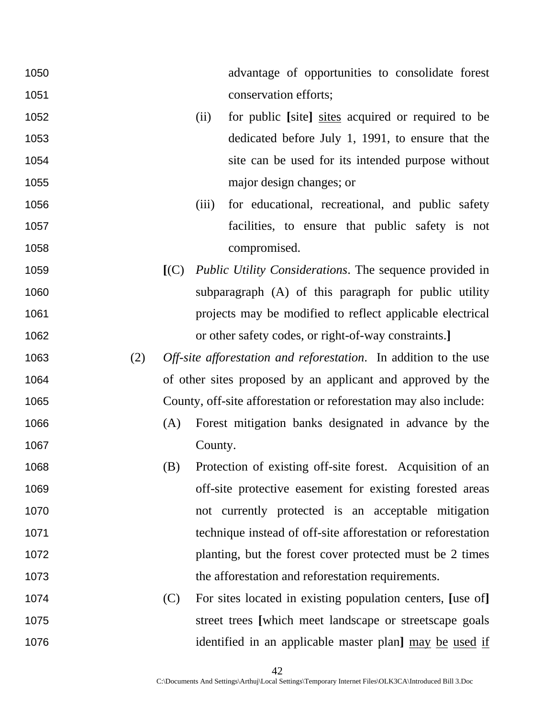| 1050 |     |     | advantage of opportunities to consolidate forest                  |
|------|-----|-----|-------------------------------------------------------------------|
| 1051 |     |     | conservation efforts;                                             |
| 1052 |     |     | for public [site] sites acquired or required to be<br>(ii)        |
| 1053 |     |     | dedicated before July 1, 1991, to ensure that the                 |
| 1054 |     |     | site can be used for its intended purpose without                 |
| 1055 |     |     | major design changes; or                                          |
| 1056 |     |     | for educational, recreational, and public safety<br>(iii)         |
| 1057 |     |     | facilities, to ensure that public safety is not                   |
| 1058 |     |     | compromised.                                                      |
| 1059 |     | (C) | <i>Public Utility Considerations.</i> The sequence provided in    |
| 1060 |     |     | subparagraph (A) of this paragraph for public utility             |
| 1061 |     |     | projects may be modified to reflect applicable electrical         |
| 1062 |     |     | or other safety codes, or right-of-way constraints.]              |
| 1063 | (2) |     | Off-site afforestation and reforestation. In addition to the use  |
| 1064 |     |     | of other sites proposed by an applicant and approved by the       |
| 1065 |     |     | County, off-site afforestation or reforestation may also include: |
| 1066 |     | (A) | Forest mitigation banks designated in advance by the              |
| 1067 |     |     | County.                                                           |
| 1068 |     | (B) | Protection of existing off-site forest. Acquisition of an         |
| 1069 |     |     | off-site protective easement for existing forested areas          |
| 1070 |     |     | not currently protected is an acceptable mitigation               |
| 1071 |     |     | technique instead of off-site afforestation or reforestation      |
| 1072 |     |     | planting, but the forest cover protected must be 2 times          |
| 1073 |     |     | the afforestation and reforestation requirements.                 |
| 1074 |     | (C) | For sites located in existing population centers, [use of]        |
| 1075 |     |     | street trees [which meet landscape or streetscape goals           |
| 1076 |     |     | identified in an applicable master plan] may be used if           |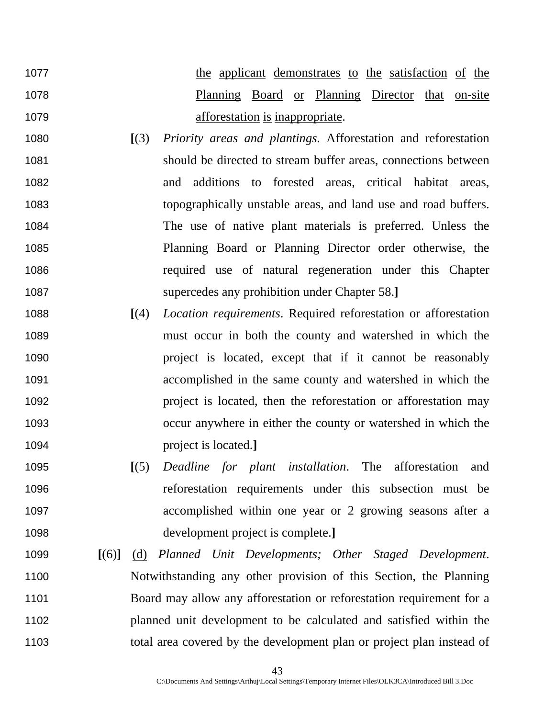1077 the applicant demonstrates to the satisfaction of the Planning Board or Planning Director that on-site **affortion** is inappropriate.

- **[**(3) *Priority areas and plantings*. Afforestation and reforestation should be directed to stream buffer areas, connections between and additions to forested areas, critical habitat areas, topographically unstable areas, and land use and road buffers. The use of native plant materials is preferred. Unless the Planning Board or Planning Director order otherwise, the required use of natural regeneration under this Chapter supercedes any prohibition under Chapter 58.**]**
- **[**(4) *Location requirements*. Required reforestation or afforestation must occur in both the county and watershed in which the project is located, except that if it cannot be reasonably accomplished in the same county and watershed in which the project is located, then the reforestation or afforestation may occur anywhere in either the county or watershed in which the project is located.**]**
- **[**(5) *Deadline for plant installation*. The afforestation and reforestation requirements under this subsection must be accomplished within one year or 2 growing seasons after a development project is complete.**]**
- **[**(6)**]** (d) *Planned Unit Developments; Other Staged Development*. Notwithstanding any other provision of this Section, the Planning 1101 Board may allow any afforestation or reforestation requirement for a planned unit development to be calculated and satisfied within the total area covered by the development plan or project plan instead of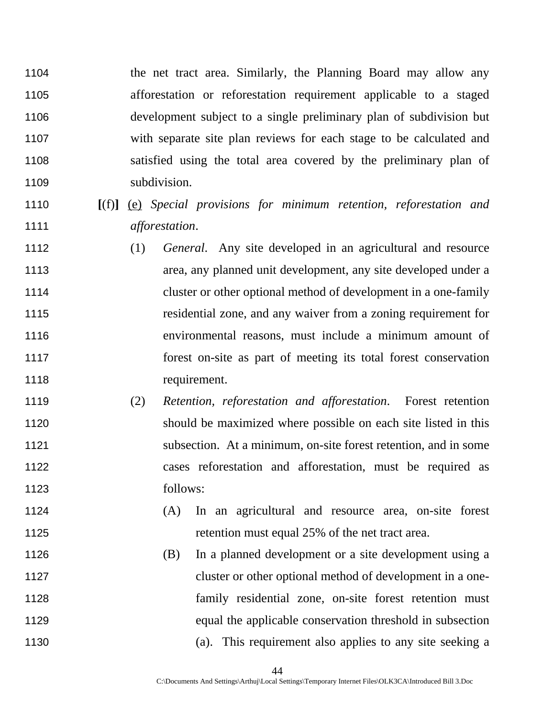the net tract area. Similarly, the Planning Board may allow any afforestation or reforestation requirement applicable to a staged development subject to a single preliminary plan of subdivision but with separate site plan reviews for each stage to be calculated and satisfied using the total area covered by the preliminary plan of subdivision.

- **[**(f)**]** (e) *Special provisions for minimum retention, reforestation and afforestation*.
- (1) *General*. Any site developed in an agricultural and resource area, any planned unit development, any site developed under a cluster or other optional method of development in a one-family residential zone, and any waiver from a zoning requirement for environmental reasons, must include a minimum amount of forest on-site as part of meeting its total forest conservation requirement.
- (2) *Retention, reforestation and afforestation*. Forest retention should be maximized where possible on each site listed in this subsection. At a minimum, on-site forest retention, and in some cases reforestation and afforestation, must be required as follows:
- (A) In an agricultural and resource area, on-site forest 1125 retention must equal 25% of the net tract area.
- (B) In a planned development or a site development using a cluster or other optional method of development in a one-family residential zone, on-site forest retention must equal the applicable conservation threshold in subsection (a). This requirement also applies to any site seeking a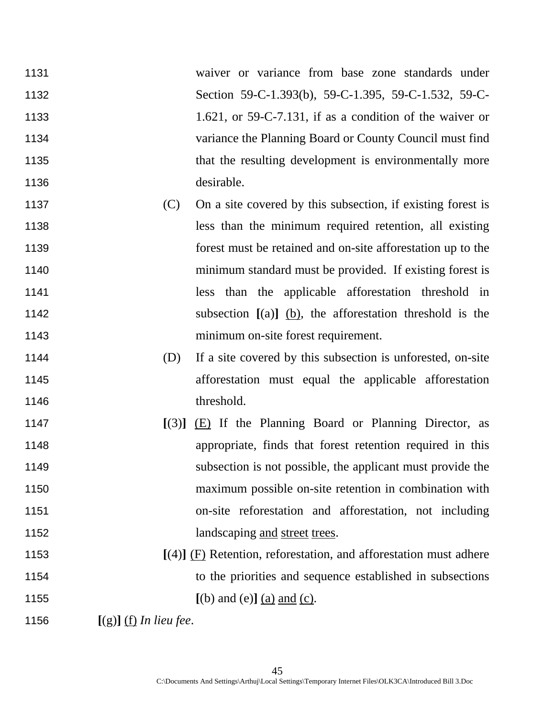- waiver or variance from base zone standards under Section 59-C-1.393(b), 59-C-1.395, 59-C-1.532, 59-C-1133 1.621, or 59-C-7.131, if as a condition of the waiver or variance the Planning Board or County Council must find 1135 that the resulting development is environmentally more desirable.
- 1137 (C) On a site covered by this subsection, if existing forest is less than the minimum required retention, all existing forest must be retained and on-site afforestation up to the minimum standard must be provided. If existing forest is less than the applicable afforestation threshold in subsection **[**(a)**]** (b), the afforestation threshold is the minimum on-site forest requirement.
- (D) If a site covered by this subsection is unforested, on-site afforestation must equal the applicable afforestation 1146 threshold.
- **[**(3)**]** (E) If the Planning Board or Planning Director, as appropriate, finds that forest retention required in this subsection is not possible, the applicant must provide the maximum possible on-site retention in combination with on-site reforestation and afforestation, not including 1152 landscaping and street trees.
- **[**(4)**]** (F) Retention, reforestation, and afforestation must adhere to the priorities and sequence established in subsections **[**(b) and (e)**]** (a) and (c).

**[**(g)**]** (f) *In lieu fee*.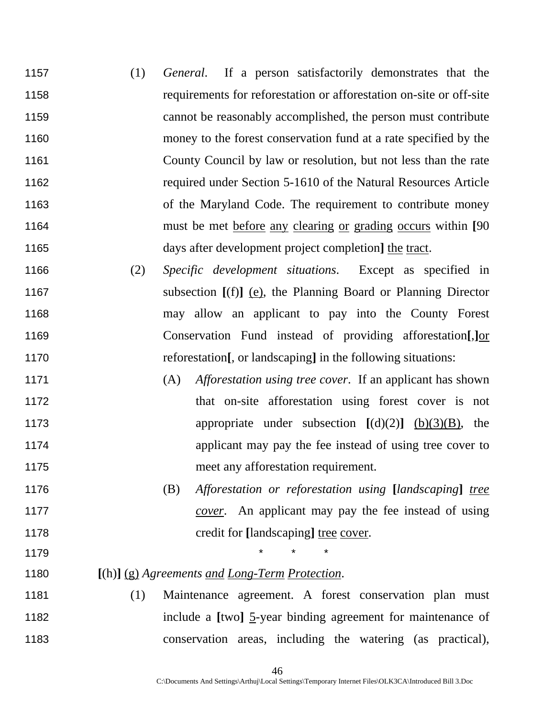- (1) *General*. If a person satisfactorily demonstrates that the requirements for reforestation or afforestation on-site or off-site cannot be reasonably accomplished, the person must contribute money to the forest conservation fund at a rate specified by the County Council by law or resolution, but not less than the rate required under Section 5-1610 of the Natural Resources Article of the Maryland Code. The requirement to contribute money must be met before any clearing or grading occurs within **[**90 days after development project completion**]** the tract.
- (2) *Specific development situations*. Except as specified in subsection **[**(f)**]** (e), the Planning Board or Planning Director may allow an applicant to pay into the County Forest Conservation Fund instead of providing afforestation**[**,**]**or reforestation**[**, or landscaping**]** in the following situations:
- (A) *Afforestation using tree cover*. If an applicant has shown 1172 that on-site afforestation using forest cover is not appropriate under subsection **[**(d)(2)**]** (b)(3)(B), the 1174 applicant may pay the fee instead of using tree cover to meet any afforestation requirement.
- (B) *Afforestation or reforestation using* **[***landscaping***]** *tree cover*. An applicant may pay the fee instead of using credit for **[**landscaping**]** tree cover.
- 
- 1179 \* \* \*

# **[**(h)**]** (g) *Agreements and Long-Term Protection*.

(1) Maintenance agreement. A forest conservation plan must include a **[**two**]** 5-year binding agreement for maintenance of conservation areas, including the watering (as practical),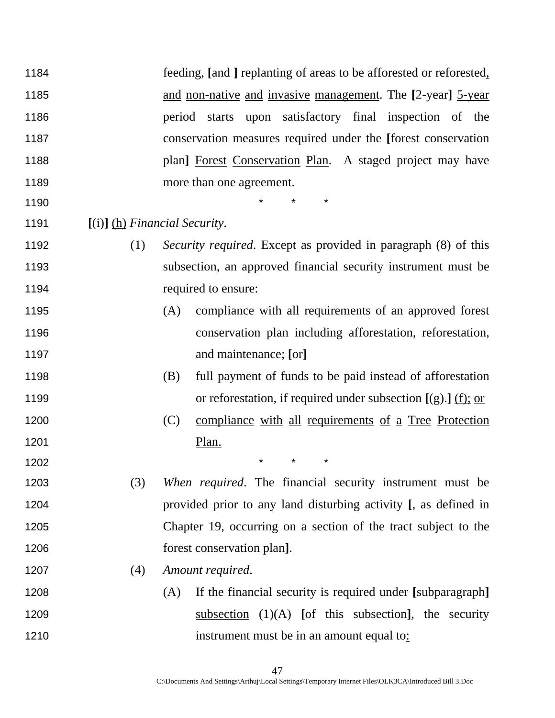| 1184 |                                 | feeding, [and ] replanting of areas to be afforested or reforested.   |
|------|---------------------------------|-----------------------------------------------------------------------|
| 1185 |                                 | and non-native and invasive management. The [2-year] 5-year           |
| 1186 |                                 | upon satisfactory final inspection of the<br>period<br>starts         |
| 1187 |                                 | conservation measures required under the [forest conservation         |
| 1188 |                                 | plan] Forest Conservation Plan. A staged project may have             |
| 1189 |                                 | more than one agreement.                                              |
| 1190 |                                 | $\star$                                                               |
| 1191 | $[(i)]$ (h) Financial Security. |                                                                       |
| 1192 | (1)                             | <i>Security required.</i> Except as provided in paragraph (8) of this |
| 1193 |                                 | subsection, an approved financial security instrument must be         |
| 1194 |                                 | required to ensure:                                                   |
| 1195 |                                 | compliance with all requirements of an approved forest<br>(A)         |
| 1196 |                                 | conservation plan including afforestation, reforestation,             |
| 1197 |                                 | and maintenance; [or]                                                 |
| 1198 |                                 | full payment of funds to be paid instead of afforestation<br>(B)      |
| 1199 |                                 | or reforestation, if required under subsection $[(g).]$ $(f);$ or     |
| 1200 |                                 | (C)<br>compliance with all requirements of a Tree Protection          |
| 1201 |                                 | Plan.                                                                 |
| 1202 |                                 | $^\star$                                                              |
| 1203 | (3)                             | When required. The financial security instrument must be              |
| 1204 |                                 | provided prior to any land disturbing activity [, as defined in       |
| 1205 |                                 | Chapter 19, occurring on a section of the tract subject to the        |
| 1206 |                                 | forest conservation plan].                                            |
| 1207 | (4)                             | Amount required.                                                      |
| 1208 |                                 | If the financial security is required under [subparagraph]<br>(A)     |
| 1209 |                                 | subsection $(1)(A)$ [of this subsection], the security                |
| 1210 |                                 | instrument must be in an amount equal to:                             |
|      |                                 |                                                                       |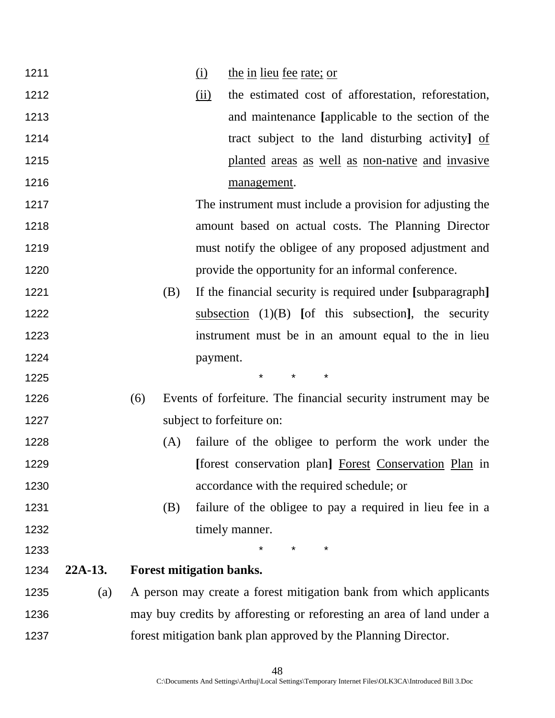| 1211 |           |     |     | (i)                      | <u>the in lieu fee rate; or</u>                                       |
|------|-----------|-----|-----|--------------------------|-----------------------------------------------------------------------|
| 1212 |           |     |     | $\overline{(\text{ii})}$ | the estimated cost of afforestation, reforestation,                   |
| 1213 |           |     |     |                          | and maintenance [applicable to the section of the                     |
| 1214 |           |     |     |                          | tract subject to the land disturbing activity] of                     |
| 1215 |           |     |     |                          | planted areas as well as non-native and invasive                      |
| 1216 |           |     |     |                          | management.                                                           |
| 1217 |           |     |     |                          | The instrument must include a provision for adjusting the             |
| 1218 |           |     |     |                          | amount based on actual costs. The Planning Director                   |
| 1219 |           |     |     |                          | must notify the obligee of any proposed adjustment and                |
| 1220 |           |     |     |                          | provide the opportunity for an informal conference.                   |
| 1221 |           |     | (B) |                          | If the financial security is required under [subparagraph]            |
| 1222 |           |     |     |                          | subsection $(1)(B)$ [of this subsection], the security                |
| 1223 |           |     |     |                          | instrument must be in an amount equal to the in lieu                  |
| 1224 |           |     |     | payment.                 |                                                                       |
| 1225 |           |     |     |                          | *<br>$^\star$                                                         |
| 1226 |           | (6) |     |                          | Events of forfeiture. The financial security instrument may be        |
| 1227 |           |     |     |                          | subject to forfeiture on:                                             |
| 1228 |           |     | (A) |                          | failure of the obligee to perform the work under the                  |
| 1229 |           |     |     |                          | [forest conservation plan] Forest Conservation Plan in                |
| 1230 |           |     |     |                          | accordance with the required schedule; or                             |
| 1231 |           |     | (B) |                          | failure of the obligee to pay a required in lieu fee in a             |
| 1232 |           |     |     |                          | timely manner.                                                        |
| 1233 |           |     |     |                          | $\star$ $\star$<br>¥                                                  |
| 1234 | $22A-13.$ |     |     |                          | <b>Forest mitigation banks.</b>                                       |
| 1235 | (a)       |     |     |                          | A person may create a forest mitigation bank from which applicants    |
| 1236 |           |     |     |                          | may buy credits by afforesting or reforesting an area of land under a |
| 1237 |           |     |     |                          | forest mitigation bank plan approved by the Planning Director.        |
|      |           |     |     |                          |                                                                       |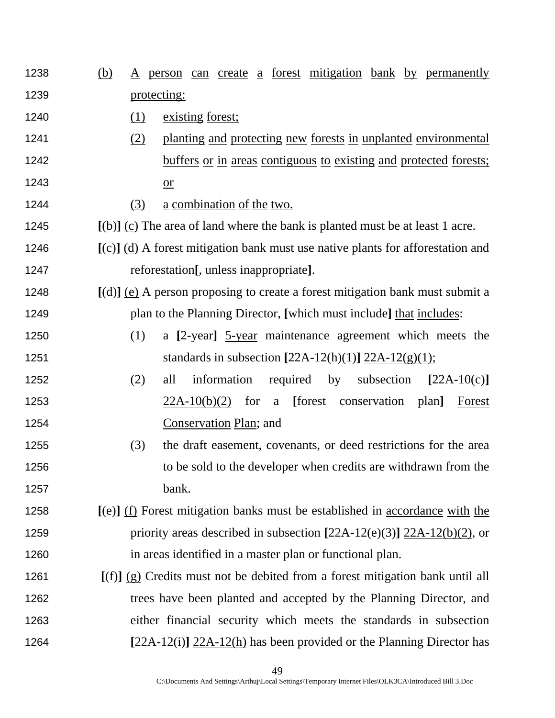- (b) A person can create a forest mitigation bank by permanently protecting:
- 1240 (1) existing forest;
- (2) planting and protecting new forests in unplanted environmental 1242 buffers or in areas contiguous to existing and protected forests; or
- (3) a combination of the two.
- **[**(b)**]** (c) The area of land where the bank is planted must be at least 1 acre.
- **[**(c)**]** (d) A forest mitigation bank must use native plants for afforestation and reforestation**[**, unless inappropriate**]**.
- **[**(d)**]** (e) A person proposing to create a forest mitigation bank must submit a plan to the Planning Director, **[**which must include**]** that includes:
- (1) a **[**2-year**]** 5-year maintenance agreement which meets the standards in subsection **[**22A-12(h)(1)**]** 22A-12(g)(1);
- (2) all information required by subsection **[**22A-10(c)**]** 22A-10(b)(2) for a **[**forest conservation plan**]** Forest Conservation Plan; and
- (3) the draft easement, covenants, or deed restrictions for the area 1256 to be sold to the developer when credits are withdrawn from the bank.
- **[**(e)**]** (f) Forest mitigation banks must be established in accordance with the priority areas described in subsection **[**22A-12(e)(3)**]** 22A-12(b)(2), or in areas identified in a master plan or functional plan.
- **[**(f)**]** (g) Credits must not be debited from a forest mitigation bank until all trees have been planted and accepted by the Planning Director, and either financial security which meets the standards in subsection **[**22A-12(i)**]** 22A-12(h) has been provided or the Planning Director has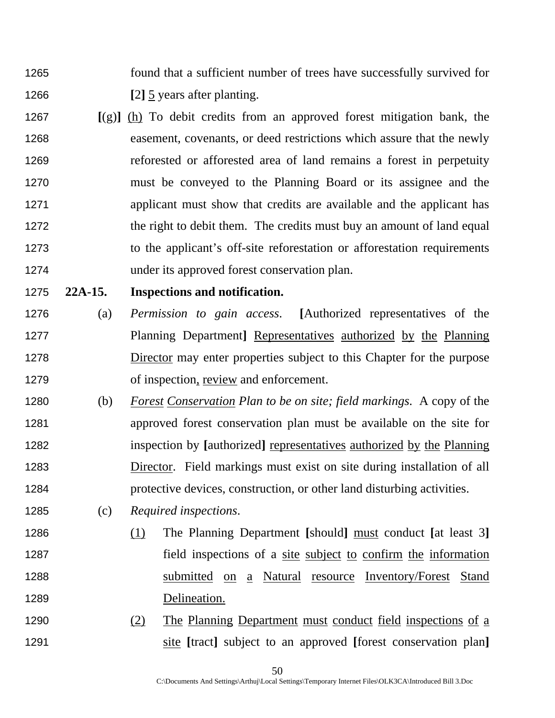- found that a sufficient number of trees have successfully survived for **[**2**]** 5 years after planting.
- **[**(g)**]** (h) To debit credits from an approved forest mitigation bank, the easement, covenants, or deed restrictions which assure that the newly reforested or afforested area of land remains a forest in perpetuity must be conveyed to the Planning Board or its assignee and the applicant must show that credits are available and the applicant has 1272 the right to debit them. The credits must buy an amount of land equal to the applicant's off-site reforestation or afforestation requirements under its approved forest conservation plan.

#### **22A-15. Inspections and notification.**

- (a) *Permission to gain access*. **[**Authorized representatives of the Planning Department**]** Representatives authorized by the Planning 1278 Director may enter properties subject to this Chapter for the purpose of inspection, review and enforcement.
- (b) *Forest Conservation Plan to be on site; field markings*. A copy of the approved forest conservation plan must be available on the site for inspection by **[**authorized**]** representatives authorized by the Planning **Director.** Field markings must exist on site during installation of all protective devices, construction, or other land disturbing activities.
- (c) *Required inspections*.
- (1) The Planning Department **[**should**]** must conduct **[**at least 3**]**  field inspections of a site subject to confirm the information submitted on a Natural resource Inventory/Forest Stand Delineation.
- (2) The Planning Department must conduct field inspections of a site **[**tract**]** subject to an approved **[**forest conservation plan**]**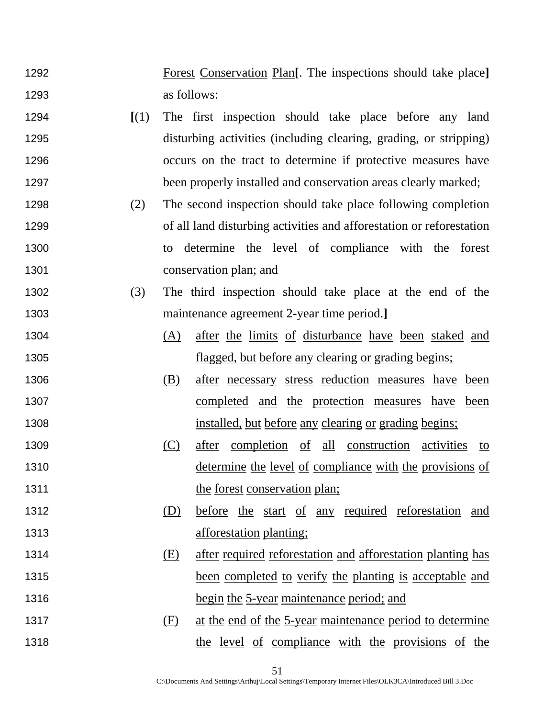- Forest Conservation Plan**[**. The inspections should take place**]** as follows:
- **[**(1) The first inspection should take place before any land disturbing activities (including clearing, grading, or stripping) occurs on the tract to determine if protective measures have 1297 been properly installed and conservation areas clearly marked;
- (2) The second inspection should take place following completion of all land disturbing activities and afforestation or reforestation to determine the level of compliance with the forest conservation plan; and
- (3) The third inspection should take place at the end of the maintenance agreement 2-year time period.**]**
- (A) after the limits of disturbance have been staked and **flagged**, but before any clearing or grading begins;
- (B) after necessary stress reduction measures have been completed and the protection measures have been installed, but before any clearing or grading begins;
- (C) after completion of all construction activities to 1310 determine the level of compliance with the provisions of 1311 the forest conservation plan;
- (D) before the start of any required reforestation and **afforestation planting**;
- 1314 (E) after required reforestation and afforestation planting has 1315 been completed to verify the planting is acceptable and 1316 begin the 5-year maintenance period; and
- 1317 (F) at the end of the 5-year maintenance period to determine the level of compliance with the provisions of the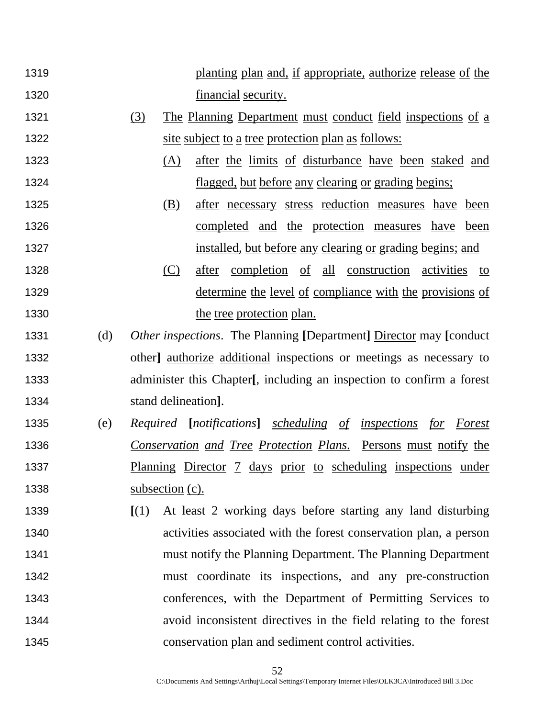- planting plan and, if appropriate, authorize release of the **financial security.**
- 1321 (3) The Planning Department must conduct field inspections of a 1322 site subject to a tree protection plan as follows:
- 1323 (A) after the limits of disturbance have been staked and flagged, but before any clearing or grading begins;
- (B) after necessary stress reduction measures have been completed and the protection measures have been 1327 installed, but before any clearing or grading begins; and
- (C) after completion of all construction activities to determine the level of compliance with the provisions of 1330 the tree protection plan.
- (d) *Other inspections*. The Planning **[**Department**]** Director may **[**conduct 1332 other authorize additional inspections or meetings as necessary to administer this Chapter**[**, including an inspection to confirm a forest stand delineation**]**.
- (e) *Required* **[***notifications***]** *scheduling of inspections for Forest Conservation and Tree Protection Plans*. Persons must notify the 1337 Planning Director 7 days prior to scheduling inspections under 1338 subsection (c).
- **[**(1) At least 2 working days before starting any land disturbing activities associated with the forest conservation plan, a person must notify the Planning Department. The Planning Department must coordinate its inspections, and any pre-construction conferences, with the Department of Permitting Services to avoid inconsistent directives in the field relating to the forest conservation plan and sediment control activities.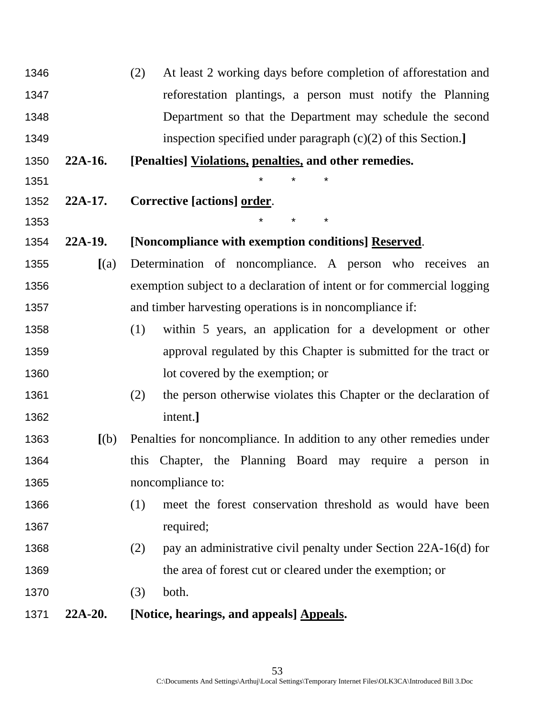| 1346 |           | At least 2 working days before completion of afforestation and<br>(2)   |
|------|-----------|-------------------------------------------------------------------------|
| 1347 |           | reforestation plantings, a person must notify the Planning              |
| 1348 |           | Department so that the Department may schedule the second               |
| 1349 |           | inspection specified under paragraph $(c)(2)$ of this Section.]         |
| 1350 | $22A-16.$ | [Penalties] Violations, penalties, and other remedies.                  |
| 1351 |           |                                                                         |
| 1352 | $22A-17.$ | Corrective [actions] order.                                             |
| 1353 |           | *<br>$\star$                                                            |
| 1354 | $22A-19.$ | [Noncompliance with exemption conditions] Reserved.                     |
| 1355 | (a)       | Determination of noncompliance. A person who receives an                |
| 1356 |           | exemption subject to a declaration of intent or for commercial logging  |
| 1357 |           | and timber harvesting operations is in noncompliance if:                |
| 1358 |           | (1)<br>within 5 years, an application for a development or other        |
| 1359 |           | approval regulated by this Chapter is submitted for the tract or        |
| 1360 |           | lot covered by the exemption; or                                        |
| 1361 |           | the person otherwise violates this Chapter or the declaration of<br>(2) |
| 1362 |           | intent.]                                                                |
| 1363 | [(b)]     | Penalties for noncompliance. In addition to any other remedies under    |
| 1364 |           | Chapter, the Planning Board may require a person<br>this<br>in          |
| 1365 |           | noncompliance to:                                                       |
| 1366 |           | (1)<br>meet the forest conservation threshold as would have been        |
| 1367 |           | required;                                                               |
| 1368 |           | (2)<br>pay an administrative civil penalty under Section 22A-16(d) for  |
| 1369 |           | the area of forest cut or cleared under the exemption; or               |
| 1370 |           | both.<br>(3)                                                            |
| 1371 | $22A-20.$ | [Notice, hearings, and appeals] Appeals.                                |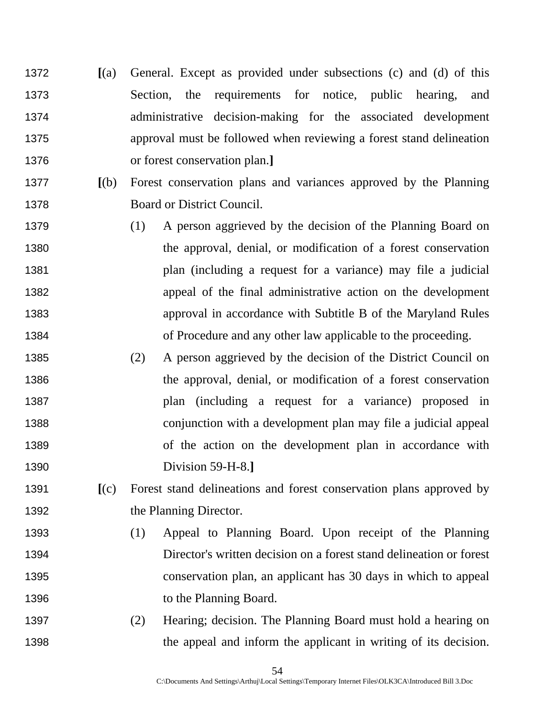- **[**(a) General. Except as provided under subsections (c) and (d) of this Section, the requirements for notice, public hearing, and administrative decision-making for the associated development approval must be followed when reviewing a forest stand delineation or forest conservation plan.**]**
- **[**(b) Forest conservation plans and variances approved by the Planning Board or District Council.
- (1) A person aggrieved by the decision of the Planning Board on the approval, denial, or modification of a forest conservation plan (including a request for a variance) may file a judicial appeal of the final administrative action on the development approval in accordance with Subtitle B of the Maryland Rules of Procedure and any other law applicable to the proceeding.
- (2) A person aggrieved by the decision of the District Council on the approval, denial, or modification of a forest conservation plan (including a request for a variance) proposed in conjunction with a development plan may file a judicial appeal of the action on the development plan in accordance with Division 59-H-8.**]**
- **[**(c) Forest stand delineations and forest conservation plans approved by 1392 the Planning Director.
- (1) Appeal to Planning Board. Upon receipt of the Planning Director's written decision on a forest stand delineation or forest conservation plan, an applicant has 30 days in which to appeal 1396 to the Planning Board.
- (2) Hearing; decision. The Planning Board must hold a hearing on the appeal and inform the applicant in writing of its decision.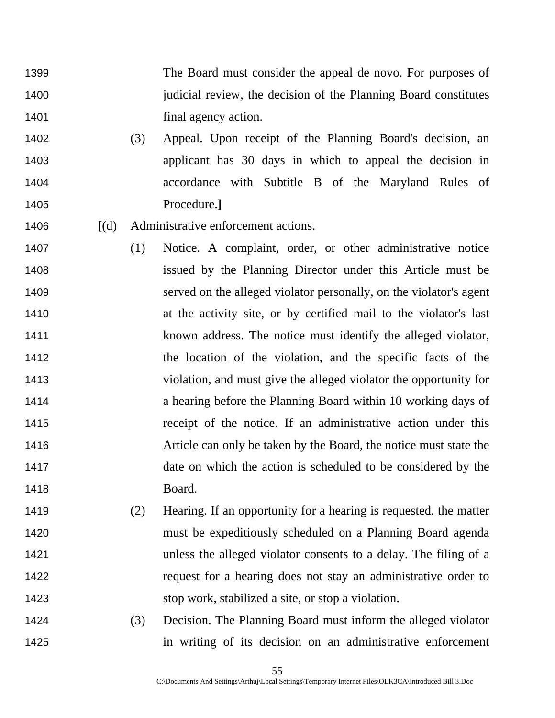- The Board must consider the appeal de novo. For purposes of 1400 iudicial review, the decision of the Planning Board constitutes **final agency action.**
- (3) Appeal. Upon receipt of the Planning Board's decision, an applicant has 30 days in which to appeal the decision in accordance with Subtitle B of the Maryland Rules of Procedure.**]**
- **[**(d) Administrative enforcement actions.
- (1) Notice. A complaint, order, or other administrative notice issued by the Planning Director under this Article must be served on the alleged violator personally, on the violator's agent at the activity site, or by certified mail to the violator's last known address. The notice must identify the alleged violator, the location of the violation, and the specific facts of the violation, and must give the alleged violator the opportunity for a hearing before the Planning Board within 10 working days of receipt of the notice. If an administrative action under this Article can only be taken by the Board, the notice must state the date on which the action is scheduled to be considered by the Board.
- (2) Hearing. If an opportunity for a hearing is requested, the matter must be expeditiously scheduled on a Planning Board agenda unless the alleged violator consents to a delay. The filing of a 1422 request for a hearing does not stay an administrative order to stop work, stabilized a site, or stop a violation.
- (3) Decision. The Planning Board must inform the alleged violator in writing of its decision on an administrative enforcement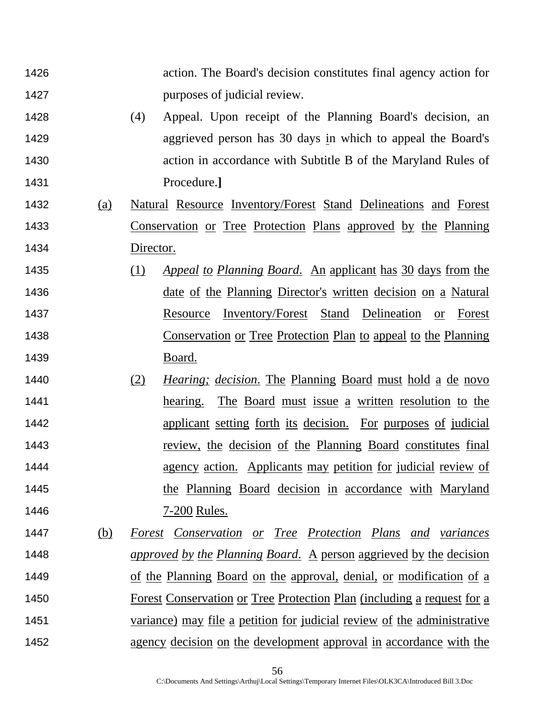| 1426               |           | action. The Board's decision constitutes final agency action for               |
|--------------------|-----------|--------------------------------------------------------------------------------|
| 1427               |           | purposes of judicial review.                                                   |
| 1428               | (4)       | Appeal. Upon receipt of the Planning Board's decision, an                      |
| 1429               |           | aggrieved person has 30 days in which to appeal the Board's                    |
| 1430               |           | action in accordance with Subtitle B of the Maryland Rules of                  |
| 1431               |           | Procedure.]                                                                    |
| 1432<br><u>(a)</u> |           | <u>Natural Resource Inventory/Forest Stand Delineations and Forest</u>         |
| 1433               |           | <u>Conservation or Tree Protection Plans approved by the Planning</u>          |
| 1434               | Director. |                                                                                |
| 1435               | (1)       | Appeal to Planning Board. An applicant has 30 days from the                    |
| 1436               |           | <u>date of the Planning Director's written decision on a Natural</u>           |
| 1437               |           | Inventory/Forest Stand Delineation<br>Resource<br>Forest<br><b>or</b>          |
| 1438               |           | <u>Conservation or Tree Protection Plan to appeal to the Planning</u>          |
| 1439               |           | Board.                                                                         |
| 1440               | (2)       | <i>Hearing; decision.</i> The Planning Board must hold a de novo               |
| 1441               |           | <u>The Board must issue a written resolution to the</u><br>hearing.            |
| 1442               |           | applicant setting forth its decision. For purposes of judicial                 |
| 1443               |           | <u>review, the decision of the Planning Board constitutes final</u>            |
| 1444               |           | agency action. Applicants may petition for judicial review of                  |
| 1445               |           | the Planning Board decision in accordance with Maryland                        |
| 1446               |           | 7-200 Rules.                                                                   |
| 1447<br>(b)        |           | <u>Forest Conservation or Tree Protection Plans and variances</u>              |
| 1448               |           | <i>approved by the Planning Board.</i> A person aggrieved by the decision      |
| 1449               |           | <u>of the Planning Board on the approval, denial, or modification of a</u>     |
| 1450               |           | <u>Forest Conservation or Tree Protection Plan (including a request for a</u>  |
| 1451               |           | <u>variance) may file a petition for judicial review of the administrative</u> |
| 1452               |           | agency decision on the development approval in accordance with the             |

C:\Documents And Settings\Arthuj\Local Settings\Temporary Internet Files\OLK3CA\Introduced Bill 3.Doc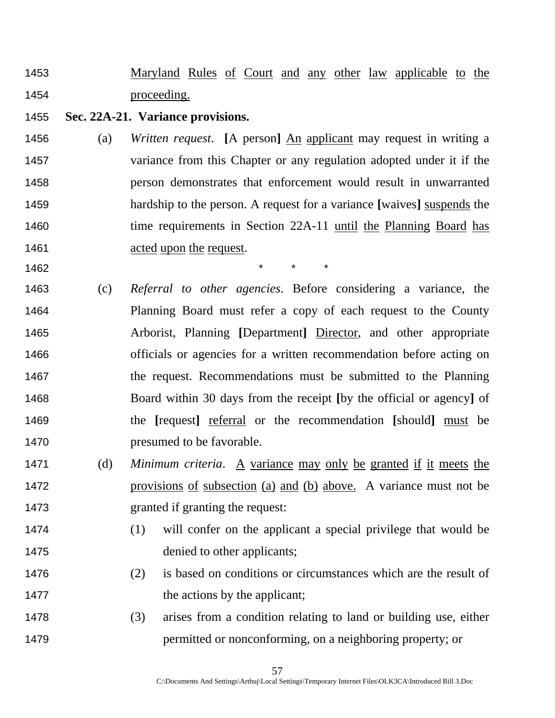- 1453 Maryland Rules of Court and any other law applicable to the proceeding.
- **Sec. 22A-21. Variance provisions.**
- (a) *Written request*. **[**A person**]** An applicant may request in writing a variance from this Chapter or any regulation adopted under it if the person demonstrates that enforcement would result in unwarranted hardship to the person. A request for a variance **[**waives**]** suspends the 1460 time requirements in Section 22A-11 until the Planning Board has **acted upon the request.**
- 1462 \* \* \*
- (c) *Referral to other agencies*. Before considering a variance, the Planning Board must refer a copy of each request to the County Arborist, Planning **[**Department**]** Director, and other appropriate officials or agencies for a written recommendation before acting on the request. Recommendations must be submitted to the Planning Board within 30 days from the receipt **[**by the official or agency**]** of the **[**request**]** referral or the recommendation **[**should**]** must be **presumed to be favorable.**
- (d) *Minimum criteria*. A variance may only be granted if it meets the provisions of subsection (a) and (b) above. A variance must not be granted if granting the request:
- (1) will confer on the applicant a special privilege that would be 1475 denied to other applicants;
- (2) is based on conditions or circumstances which are the result of 1477 the actions by the applicant;
- (3) arises from a condition relating to land or building use, either permitted or nonconforming, on a neighboring property; or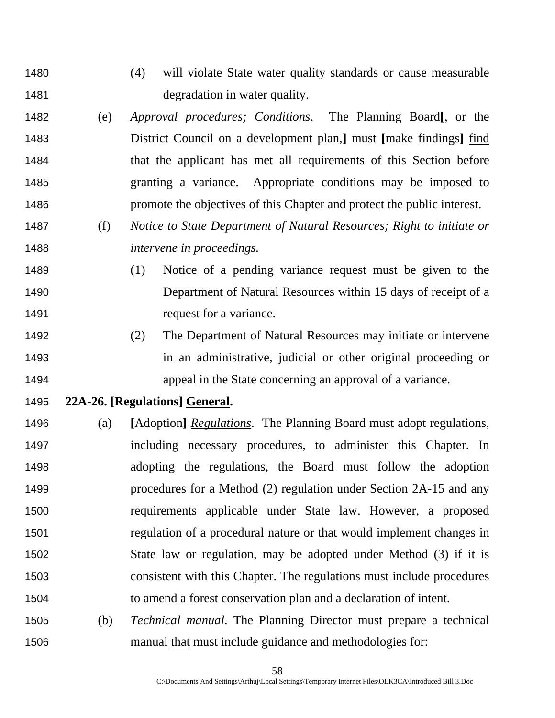- (4) will violate State water quality standards or cause measurable 1481 degradation in water quality.
- (e) *Approval procedures; Conditions*. The Planning Board**[**, or the District Council on a development plan,**]** must **[**make findings**]** find that the applicant has met all requirements of this Section before granting a variance. Appropriate conditions may be imposed to promote the objectives of this Chapter and protect the public interest.
- (f) *Notice to State Department of Natural Resources; Right to initiate or intervene in proceedings.*
- (1) Notice of a pending variance request must be given to the Department of Natural Resources within 15 days of receipt of a 1491 request for a variance.
- (2) The Department of Natural Resources may initiate or intervene in an administrative, judicial or other original proceeding or appeal in the State concerning an approval of a variance.
- **22A-26. [Regulations] General.**
- (a) **[**Adoption**]** *Regulations*. The Planning Board must adopt regulations, including necessary procedures, to administer this Chapter. In adopting the regulations, the Board must follow the adoption procedures for a Method (2) regulation under Section 2A-15 and any requirements applicable under State law. However, a proposed regulation of a procedural nature or that would implement changes in State law or regulation, may be adopted under Method (3) if it is consistent with this Chapter. The regulations must include procedures to amend a forest conservation plan and a declaration of intent.
- (b) *Technical manual*. The Planning Director must prepare a technical manual that must include guidance and methodologies for: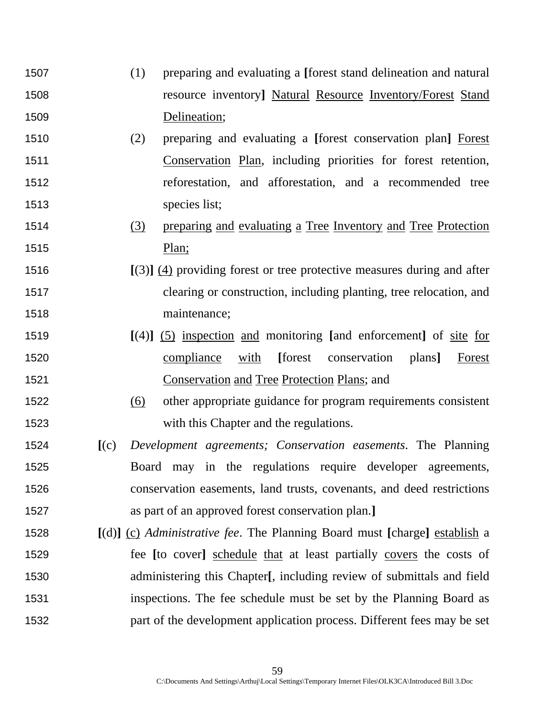- (1) preparing and evaluating a **[**forest stand delineation and natural resource inventory**]** Natural Resource Inventory/Forest Stand Delineation;
- (2) preparing and evaluating a **[**forest conservation plan**]** Forest Conservation Plan, including priorities for forest retention, reforestation, and afforestation, and a recommended tree species list;
- (3) preparing and evaluating a Tree Inventory and Tree Protection Plan;
- **[**(3)**]** (4) providing forest or tree protective measures during and after clearing or construction, including planting, tree relocation, and maintenance;
- **[**(4)**]** (5) inspection and monitoring **[**and enforcement**]** of site for compliance with **[**forest conservation plans**]** Forest Conservation and Tree Protection Plans; and
- (6) other appropriate guidance for program requirements consistent with this Chapter and the regulations.
- **[**(c) *Development agreements; Conservation easements*. The Planning Board may in the regulations require developer agreements, conservation easements, land trusts, covenants, and deed restrictions as part of an approved forest conservation plan.**]**
- **[**(d)**]** (c) *Administrative fee*. The Planning Board must **[**charge**]** establish a fee **[**to cover**]** schedule that at least partially covers the costs of administering this Chapter**[**, including review of submittals and field inspections. The fee schedule must be set by the Planning Board as part of the development application process. Different fees may be set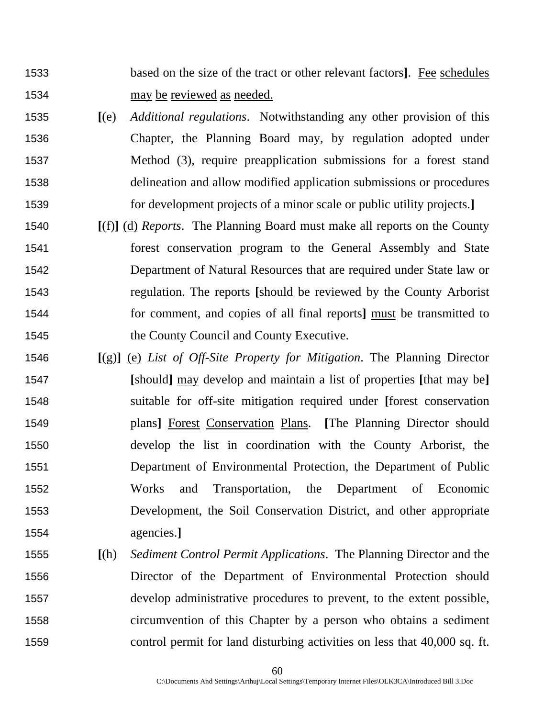- based on the size of the tract or other relevant factors**]**. Fee schedules may be reviewed as needed.
- **[**(e) *Additional regulations*. Notwithstanding any other provision of this Chapter, the Planning Board may, by regulation adopted under Method (3), require preapplication submissions for a forest stand delineation and allow modified application submissions or procedures for development projects of a minor scale or public utility projects.**]**
- **[**(f)**]** (d) *Reports*. The Planning Board must make all reports on the County forest conservation program to the General Assembly and State Department of Natural Resources that are required under State law or regulation. The reports **[**should be reviewed by the County Arborist for comment, and copies of all final reports**]** must be transmitted to the County Council and County Executive.
- **[**(g)**]** (e) *List of Off-Site Property for Mitigation*. The Planning Director **[**should**]** may develop and maintain a list of properties **[**that may be**]**  suitable for off-site mitigation required under **[**forest conservation plans**]** Forest Conservation Plans. **[**The Planning Director should develop the list in coordination with the County Arborist, the Department of Environmental Protection, the Department of Public Works and Transportation, the Department of Economic Development, the Soil Conservation District, and other appropriate agencies.**]**
- **[**(h) *Sediment Control Permit Applications*. The Planning Director and the Director of the Department of Environmental Protection should develop administrative procedures to prevent, to the extent possible, circumvention of this Chapter by a person who obtains a sediment control permit for land disturbing activities on less that 40,000 sq. ft.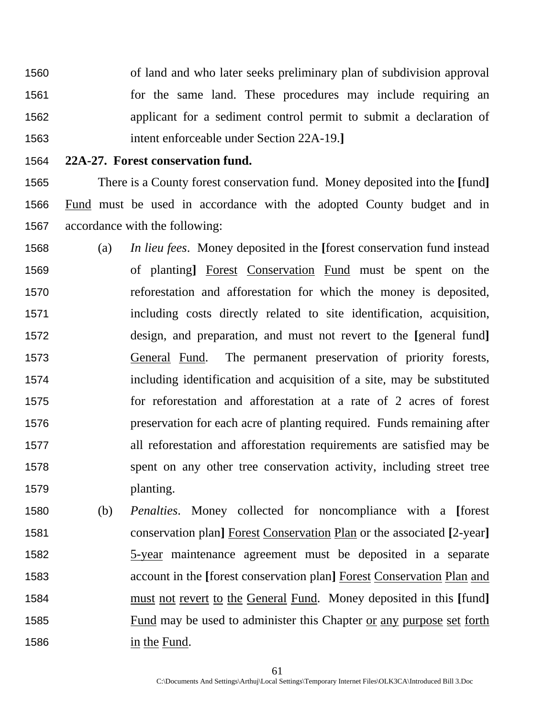of land and who later seeks preliminary plan of subdivision approval for the same land. These procedures may include requiring an applicant for a sediment control permit to submit a declaration of intent enforceable under Section 22A-19.**]**

### **22A-27. Forest conservation fund.**

There is a County forest conservation fund. Money deposited into the **[**fund**]** Fund must be used in accordance with the adopted County budget and in accordance with the following:

- (a) *In lieu fees*. Money deposited in the **[**forest conservation fund instead of planting**]** Forest Conservation Fund must be spent on the reforestation and afforestation for which the money is deposited, including costs directly related to site identification, acquisition, design, and preparation, and must not revert to the **[**general fund**]** General Fund. The permanent preservation of priority forests, including identification and acquisition of a site, may be substituted for reforestation and afforestation at a rate of 2 acres of forest preservation for each acre of planting required. Funds remaining after all reforestation and afforestation requirements are satisfied may be spent on any other tree conservation activity, including street tree planting.
- (b) *Penalties*. Money collected for noncompliance with a **[**forest conservation plan**]** Forest Conservation Plan or the associated **[**2-year**]**  5-year maintenance agreement must be deposited in a separate account in the **[**forest conservation plan**]** Forest Conservation Plan and must not revert to the General Fund. Money deposited in this **[**fund**]** Fund may be used to administer this Chapter or any purpose set forth in the Fund.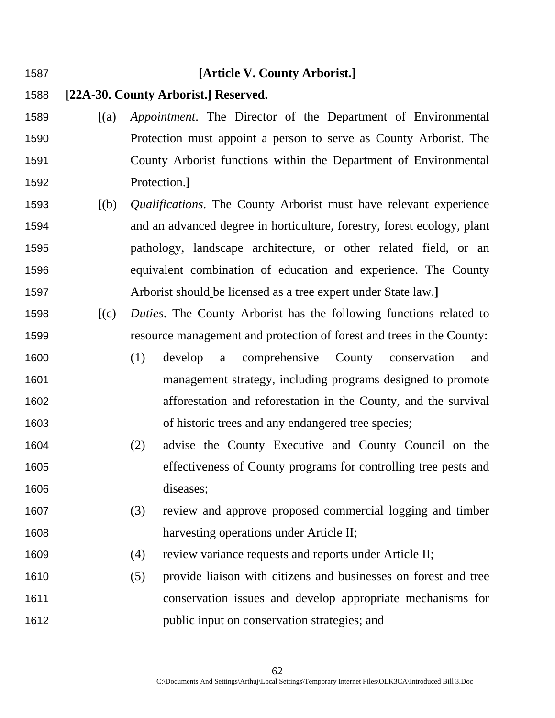#### **[Article V. County Arborist.]**

- **[22A-30. County Arborist.] Reserved.**
- **[**(a) *Appointment*. The Director of the Department of Environmental Protection must appoint a person to serve as County Arborist. The County Arborist functions within the Department of Environmental Protection.**]**
- **[**(b) *Qualifications*. The County Arborist must have relevant experience and an advanced degree in horticulture, forestry, forest ecology, plant pathology, landscape architecture, or other related field, or an equivalent combination of education and experience. The County Arborist should be licensed as a tree expert under State law.**]**
- **[**(c) *Duties*. The County Arborist has the following functions related to resource management and protection of forest and trees in the County:
- (1) develop a comprehensive County conservation and management strategy, including programs designed to promote afforestation and reforestation in the County, and the survival of historic trees and any endangered tree species;
- (2) advise the County Executive and County Council on the effectiveness of County programs for controlling tree pests and diseases;
- (3) review and approve proposed commercial logging and timber harvesting operations under Article II;
- (4) review variance requests and reports under Article II;
- (5) provide liaison with citizens and businesses on forest and tree conservation issues and develop appropriate mechanisms for public input on conservation strategies; and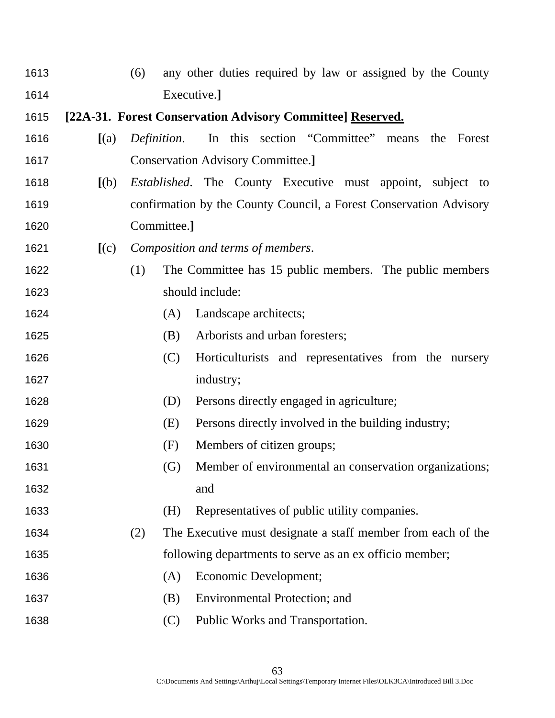(6) any other duties required by law or assigned by the County Executive.**] [22A-31. Forest Conservation Advisory Committee] Reserved. [**(a) *Definition*. In this section "Committee" means the Forest Conservation Advisory Committee.**] [**(b) *Established*. The County Executive must appoint, subject to confirmation by the County Council, a Forest Conservation Advisory Committee.**] [**(c) *Composition and terms of members*. (1) The Committee has 15 public members. The public members should include: 1624 (A) Landscape architects; (B) Arborists and urban foresters; (C) Horticulturists and representatives from the nursery 1627 industry; (D) Persons directly engaged in agriculture; (E) Persons directly involved in the building industry; 1630 (F) Members of citizen groups; (G) Member of environmental an conservation organizations; and (H) Representatives of public utility companies. (2) The Executive must designate a staff member from each of the following departments to serve as an ex officio member; (A) Economic Development; (B) Environmental Protection; and (C) Public Works and Transportation.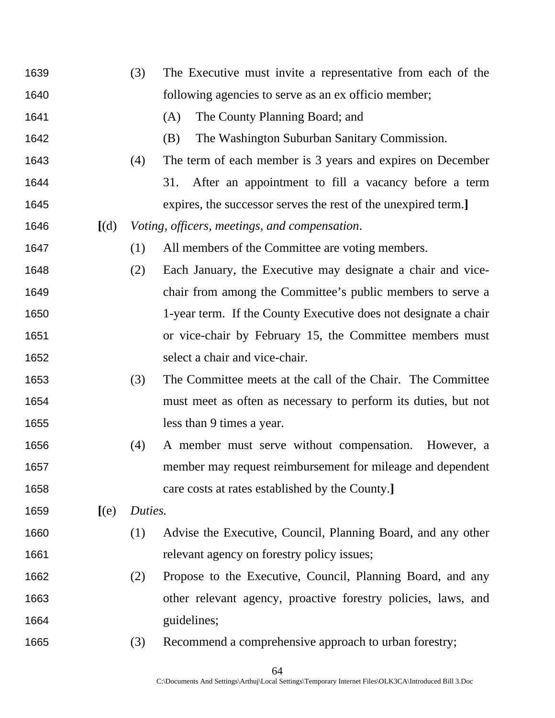(3) The Executive must invite a representative from each of the following agencies to serve as an ex officio member; (A) The County Planning Board; and (B) The Washington Suburban Sanitary Commission. (4) The term of each member is 3 years and expires on December 31. After an appointment to fill a vacancy before a term expires, the successor serves the rest of the unexpired term.**] [**(d) *Voting, officers, meetings, and compensation*. (1) All members of the Committee are voting members. (2) Each January, the Executive may designate a chair and vice-chair from among the Committee's public members to serve a 1-year term. If the County Executive does not designate a chair or vice-chair by February 15, the Committee members must select a chair and vice-chair. (3) The Committee meets at the call of the Chair. The Committee must meet as often as necessary to perform its duties, but not less than 9 times a year. (4) A member must serve without compensation. However, a member may request reimbursement for mileage and dependent care costs at rates established by the County.**] [**(e) *Duties.* (1) Advise the Executive, Council, Planning Board, and any other 1661 relevant agency on forestry policy issues; (2) Propose to the Executive, Council, Planning Board, and any other relevant agency, proactive forestry policies, laws, and 1664 guidelines; (3) Recommend a comprehensive approach to urban forestry;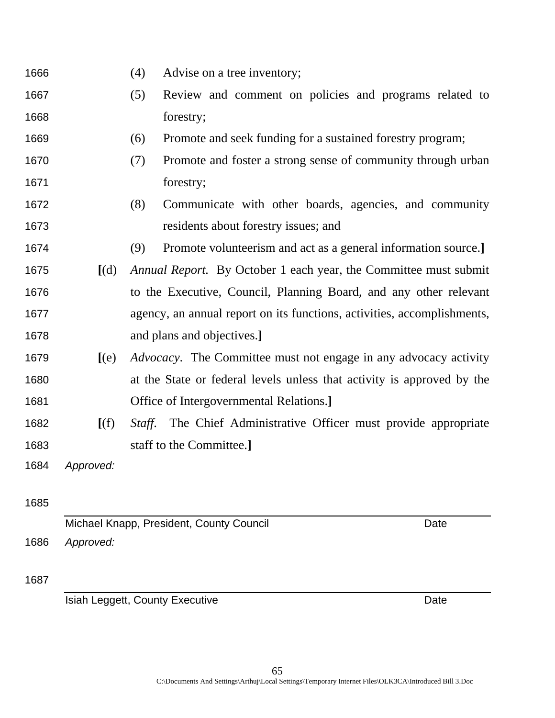| Advise on a tree inventory; |
|-----------------------------|
|                             |

- (5) Review and comment on policies and programs related to forestry;
- (6) Promote and seek funding for a sustained forestry program;
- (7) Promote and foster a strong sense of community through urban 1671 forestry;
- (8) Communicate with other boards, agencies, and community residents about forestry issues; and
- (9) Promote volunteerism and act as a general information source.**]**
- **[**(d) *Annual Report.* By October 1 each year, the Committee must submit to the Executive, Council, Planning Board, and any other relevant agency, an annual report on its functions, activities, accomplishments, and plans and objectives.**]**
- **[**(e) *Advocacy*. The Committee must not engage in any advocacy activity at the State or federal levels unless that activity is approved by the Office of Intergovernmental Relations.**]**
- **[**(f) *Staff*. The Chief Administrative Officer must provide appropriate staff to the Committee.**]**

*Approved:*

# 

Michael Knapp, President, County Council Date Date *Approved:*

## 

**Isiah Leggett, County Executive Community Control Control Control Control Control Control Control Control Control Control Control Control Control Control Control Control Control Control Control Control Control Control Con**